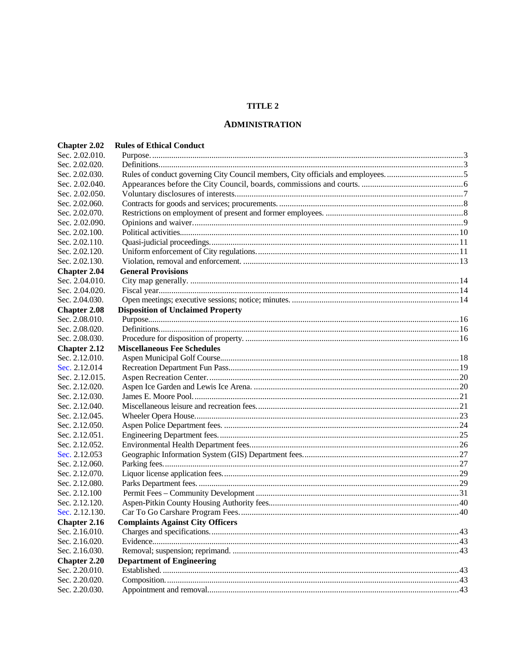# **TITLE 2**

# **ADMINISTRATION**

| Sec. 2.02.010.<br>Sec. 2.02.020.<br>Rules of conduct governing City Council members, City officials and employees5<br>Sec. 2.02.030.<br>Sec. 2.02.040.<br>Sec. 2.02.050.<br>Sec. 2.02.060.<br>Sec. 2.02.070.<br>Sec. 2.02.090. |  |
|--------------------------------------------------------------------------------------------------------------------------------------------------------------------------------------------------------------------------------|--|
|                                                                                                                                                                                                                                |  |
|                                                                                                                                                                                                                                |  |
|                                                                                                                                                                                                                                |  |
|                                                                                                                                                                                                                                |  |
|                                                                                                                                                                                                                                |  |
|                                                                                                                                                                                                                                |  |
|                                                                                                                                                                                                                                |  |
|                                                                                                                                                                                                                                |  |
| Sec. 2.02.100.                                                                                                                                                                                                                 |  |
| Sec. 2.02.110.                                                                                                                                                                                                                 |  |
| Sec. 2.02.120.                                                                                                                                                                                                                 |  |
| Sec. 2.02.130.                                                                                                                                                                                                                 |  |
| <b>General Provisions</b><br><b>Chapter 2.04</b>                                                                                                                                                                               |  |
| Sec. 2.04.010.                                                                                                                                                                                                                 |  |
| Sec. 2.04.020.                                                                                                                                                                                                                 |  |
| Sec. 2.04.030.                                                                                                                                                                                                                 |  |
| <b>Disposition of Unclaimed Property</b><br><b>Chapter 2.08</b>                                                                                                                                                                |  |
| Sec. 2.08.010.                                                                                                                                                                                                                 |  |
| Sec. 2.08.020.                                                                                                                                                                                                                 |  |
| Sec. 2.08.030.                                                                                                                                                                                                                 |  |
| <b>Miscellaneous Fee Schedules</b><br><b>Chapter 2.12</b>                                                                                                                                                                      |  |
| Sec. 2.12.010.                                                                                                                                                                                                                 |  |
| Sec. 2.12.014                                                                                                                                                                                                                  |  |
| Sec. 2.12.015.                                                                                                                                                                                                                 |  |
| Sec. 2.12.020.                                                                                                                                                                                                                 |  |
| Sec. 2.12.030.                                                                                                                                                                                                                 |  |
| Sec. 2.12.040.                                                                                                                                                                                                                 |  |
| Sec. 2.12.045.                                                                                                                                                                                                                 |  |
| Sec. 2.12.050.                                                                                                                                                                                                                 |  |
| Sec. 2.12.051.                                                                                                                                                                                                                 |  |
| Sec. 2.12.052.                                                                                                                                                                                                                 |  |
| Sec. 2.12.053                                                                                                                                                                                                                  |  |
| Sec. 2.12.060.                                                                                                                                                                                                                 |  |
| Sec. 2.12.070.                                                                                                                                                                                                                 |  |
| Sec. 2.12.080.                                                                                                                                                                                                                 |  |
| Sec. 2.12.100                                                                                                                                                                                                                  |  |
| Sec. 2.12.120.                                                                                                                                                                                                                 |  |
| Sec. 2.12.130.                                                                                                                                                                                                                 |  |
| <b>Chapter 2.16</b><br><b>Complaints Against City Officers</b>                                                                                                                                                                 |  |
| Sec. 2.16.010.                                                                                                                                                                                                                 |  |
| Sec. 2.16.020.                                                                                                                                                                                                                 |  |
| Sec. 2.16.030.                                                                                                                                                                                                                 |  |
| <b>Department of Engineering</b><br><b>Chapter 2.20</b>                                                                                                                                                                        |  |
| Sec. 2.20.010.                                                                                                                                                                                                                 |  |
| Sec. 2.20.020.                                                                                                                                                                                                                 |  |
| Sec. 2.20.030.                                                                                                                                                                                                                 |  |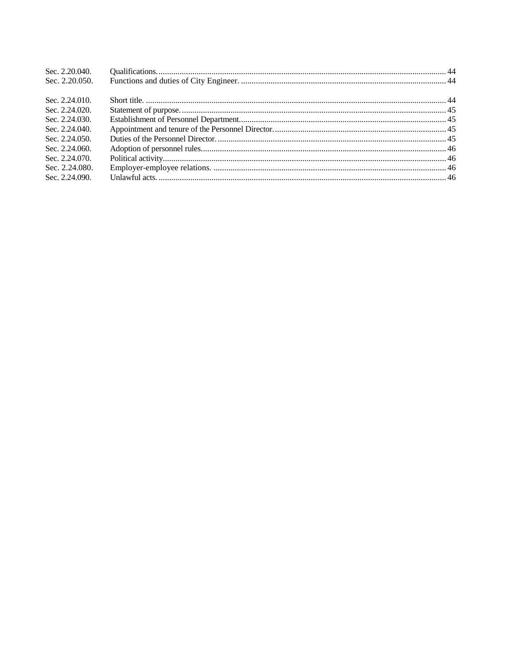| Sec. 2.20.040. |  |
|----------------|--|
| Sec. 2.20.050. |  |
|                |  |
| Sec. 2.24.010. |  |
| Sec. 2.24,020. |  |
| Sec. 2.24.030. |  |
| Sec. 2.24.040. |  |
| Sec. 2.24.050. |  |
| Sec. 2.24,060. |  |
| Sec. 2.24.070. |  |
| Sec. 2.24,080. |  |
| Sec. 2.24.090. |  |
|                |  |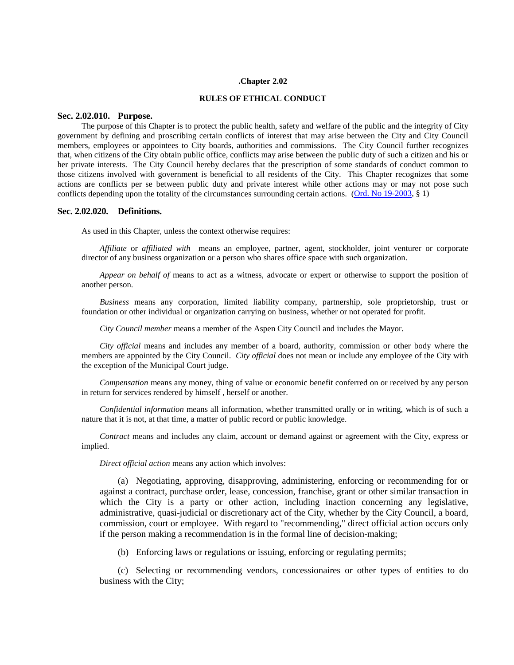#### **.Chapter 2.02**

### **RULES OF ETHICAL CONDUCT**

# <span id="page-2-0"></span>**Sec. 2.02.010. Purpose.**

The purpose of this Chapter is to protect the public health, safety and welfare of the public and the integrity of City government by defining and proscribing certain conflicts of interest that may arise between the City and City Council members, employees or appointees to City boards, authorities and commissions. The City Council further recognizes that, when citizens of the City obtain public office, conflicts may arise between the public duty of such a citizen and his or her private interests. The City Council hereby declares that the prescription of some standards of conduct common to those citizens involved with government is beneficial to all residents of the City. This Chapter recognizes that some actions are conflicts per se between public duty and private interest while other actions may or may not pose such conflicts depending upon the totality of the circumstances surrounding certain actions. [\(Ord. No 19-2003,](http://205.170.51.183/WebLink8/DocView.aspx?id=33222&dbid=0) § 1)

## <span id="page-2-1"></span>**Sec. 2.02.020. Definitions.**

As used in this Chapter, unless the context otherwise requires:

*Affiliate* or *affiliated with* means an employee, partner, agent, stockholder, joint venturer or corporate director of any business organization or a person who shares office space with such organization.

*Appear on behalf of* means to act as a witness, advocate or expert or otherwise to support the position of another person.

*Business* means any corporation, limited liability company, partnership, sole proprietorship, trust or foundation or other individual or organization carrying on business, whether or not operated for profit.

*City Council member* means a member of the Aspen City Council and includes the Mayor.

*City official* means and includes any member of a board, authority, commission or other body where the members are appointed by the City Council. *City official* does not mean or include any employee of the City with the exception of the Municipal Court judge.

*Compensation* means any money, thing of value or economic benefit conferred on or received by any person in return for services rendered by himself , herself or another.

*Confidential information* means all information, whether transmitted orally or in writing, which is of such a nature that it is not, at that time, a matter of public record or public knowledge.

*Contract* means and includes any claim, account or demand against or agreement with the City, express or implied.

*Direct official action* means any action which involves:

(a) Negotiating, approving, disapproving, administering, enforcing or recommending for or against a contract, purchase order, lease, concession, franchise, grant or other similar transaction in which the City is a party or other action, including inaction concerning any legislative, administrative, quasi-judicial or discretionary act of the City, whether by the City Council, a board, commission, court or employee. With regard to "recommending," direct official action occurs only if the person making a recommendation is in the formal line of decision-making;

(b) Enforcing laws or regulations or issuing, enforcing or regulating permits;

(c) Selecting or recommending vendors, concessionaires or other types of entities to do business with the City;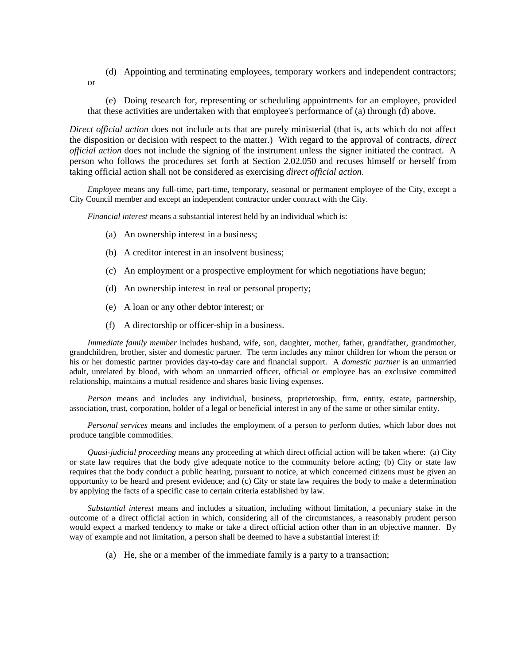(d) Appointing and terminating employees, temporary workers and independent contractors; or

(e) Doing research for, representing or scheduling appointments for an employee, provided that these activities are undertaken with that employee's performance of (a) through (d) above.

*Direct official action* does not include acts that are purely ministerial (that is, acts which do not affect the disposition or decision with respect to the matter.) With regard to the approval of contracts, *direct official action* does not include the signing of the instrument unless the signer initiated the contract. A person who follows the procedures set forth at Section 2.02.050 and recuses himself or herself from taking official action shall not be considered as exercising *direct official action*.

*Employee* means any full-time, part-time, temporary, seasonal or permanent employee of the City, except a City Council member and except an independent contractor under contract with the City.

*Financial interest* means a substantial interest held by an individual which is:

- (a) An ownership interest in a business;
- (b) A creditor interest in an insolvent business;
- (c) An employment or a prospective employment for which negotiations have begun;
- (d) An ownership interest in real or personal property;
- (e) A loan or any other debtor interest; or
- (f) A directorship or officer-ship in a business.

*Immediate family member* includes husband, wife, son, daughter, mother, father, grandfather, grandmother, grandchildren, brother, sister and domestic partner. The term includes any minor children for whom the person or his or her domestic partner provides day-to-day care and financial support. A *domestic partner* is an unmarried adult, unrelated by blood, with whom an unmarried officer, official or employee has an exclusive committed relationship, maintains a mutual residence and shares basic living expenses.

*Person* means and includes any individual, business, proprietorship, firm, entity, estate, partnership, association, trust, corporation, holder of a legal or beneficial interest in any of the same or other similar entity.

*Personal services* means and includes the employment of a person to perform duties, which labor does not produce tangible commodities.

*Quasi-judicial proceeding* means any proceeding at which direct official action will be taken where: (a) City or state law requires that the body give adequate notice to the community before acting; (b) City or state law requires that the body conduct a public hearing, pursuant to notice, at which concerned citizens must be given an opportunity to be heard and present evidence; and (c) City or state law requires the body to make a determination by applying the facts of a specific case to certain criteria established by law.

*Substantial interest* means and includes a situation, including without limitation, a pecuniary stake in the outcome of a direct official action in which, considering all of the circumstances, a reasonably prudent person would expect a marked tendency to make or take a direct official action other than in an objective manner. By way of example and not limitation, a person shall be deemed to have a substantial interest if:

(a) He, she or a member of the immediate family is a party to a transaction;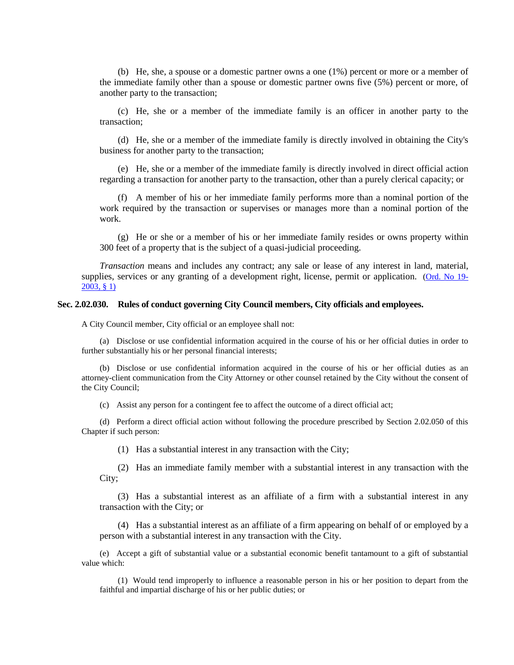(b) He, she, a spouse or a domestic partner owns a one (1%) percent or more or a member of the immediate family other than a spouse or domestic partner owns five (5%) percent or more, of another party to the transaction;

(c) He, she or a member of the immediate family is an officer in another party to the transaction;

(d) He, she or a member of the immediate family is directly involved in obtaining the City's business for another party to the transaction;

(e) He, she or a member of the immediate family is directly involved in direct official action regarding a transaction for another party to the transaction, other than a purely clerical capacity; or

(f) A member of his or her immediate family performs more than a nominal portion of the work required by the transaction or supervises or manages more than a nominal portion of the work.

(g) He or she or a member of his or her immediate family resides or owns property within 300 feet of a property that is the subject of a quasi-judicial proceeding.

*Transaction* means and includes any contract; any sale or lease of any interest in land, material, supplies, services or any granting of a development right, license, permit or application. [\(Ord. No 19-](http://205.170.51.183/WebLink8/DocView.aspx?id=33222&dbid=0) [2003, §](http://205.170.51.183/WebLink8/DocView.aspx?id=33222&dbid=0) 1)

# <span id="page-4-0"></span>**Sec. 2.02.030. Rules of conduct governing City Council members, City officials and employees.**

A City Council member, City official or an employee shall not:

(a) Disclose or use confidential information acquired in the course of his or her official duties in order to further substantially his or her personal financial interests;

(b) Disclose or use confidential information acquired in the course of his or her official duties as an attorney-client communication from the City Attorney or other counsel retained by the City without the consent of the City Council;

(c) Assist any person for a contingent fee to affect the outcome of a direct official act;

(d) Perform a direct official action without following the procedure prescribed by Section 2.02.050 of this Chapter if such person:

(1) Has a substantial interest in any transaction with the City;

(2) Has an immediate family member with a substantial interest in any transaction with the City;

(3) Has a substantial interest as an affiliate of a firm with a substantial interest in any transaction with the City; or

(4) Has a substantial interest as an affiliate of a firm appearing on behalf of or employed by a person with a substantial interest in any transaction with the City.

(e) Accept a gift of substantial value or a substantial economic benefit tantamount to a gift of substantial value which:

(1) Would tend improperly to influence a reasonable person in his or her position to depart from the faithful and impartial discharge of his or her public duties; or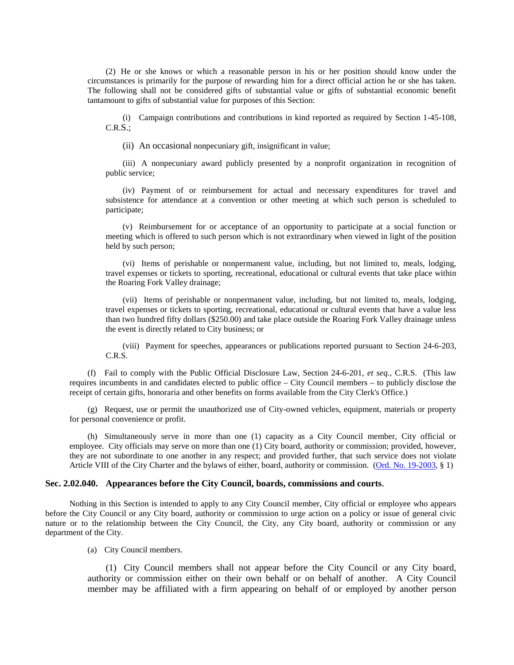(2) He or she knows or which a reasonable person in his or her position should know under the circumstances is primarily for the purpose of rewarding him for a direct official action he or she has taken. The following shall not be considered gifts of substantial value or gifts of substantial economic benefit tantamount to gifts of substantial value for purposes of this Section:

(i) Campaign contributions and contributions in kind reported as required by Section 1-45-108, C.R.S.;

(ii) An occasional nonpecuniary gift, insignificant in value;

(iii) A nonpecuniary award publicly presented by a nonprofit organization in recognition of public service;

(iv) Payment of or reimbursement for actual and necessary expenditures for travel and subsistence for attendance at a convention or other meeting at which such person is scheduled to participate;

(v) Reimbursement for or acceptance of an opportunity to participate at a social function or meeting which is offered to such person which is not extraordinary when viewed in light of the position held by such person;

(vi) Items of perishable or nonpermanent value, including, but not limited to, meals, lodging, travel expenses or tickets to sporting, recreational, educational or cultural events that take place within the Roaring Fork Valley drainage;

(vii) Items of perishable or nonpermanent value, including, but not limited to, meals, lodging, travel expenses or tickets to sporting, recreational, educational or cultural events that have a value less than two hundred fifty dollars (\$250.00) and take place outside the Roaring Fork Valley drainage unless the event is directly related to City business; or

(viii) Payment for speeches, appearances or publications reported pursuant to Section 24-6-203, C.R.S.

(f) Fail to comply with the Public Official Disclosure Law, Section 24-6-201, *et seq.*, C.R.S. (This law requires incumbents in and candidates elected to public office – City Council members – to publicly disclose the receipt of certain gifts, honoraria and other benefits on forms available from the City Clerk's Office.)

(g) Request, use or permit the unauthorized use of City-owned vehicles, equipment, materials or property for personal convenience or profit.

(h) Simultaneously serve in more than one (1) capacity as a City Council member, City official or employee. City officials may serve on more than one (1) City board, authority or commission; provided, however, they are not subordinate to one another in any respect; and provided further, that such service does not violate Article VIII of the City Charter and the bylaws of either, board, authority or commission. [\(Ord. No. 19-2003,](http://205.170.51.183/WebLink8/DocView.aspx?id=33222&dbid=0) § 1)

## <span id="page-5-0"></span>**Sec. 2.02.040. Appearances before the City Council, boards, commissions and courts**.

Nothing in this Section is intended to apply to any City Council member, City official or employee who appears before the City Council or any City board, authority or commission to urge action on a policy or issue of general civic nature or to the relationship between the City Council, the City, any City board, authority or commission or any department of the City.

(a) City Council members.

(1) City Council members shall not appear before the City Council or any City board, authority or commission either on their own behalf or on behalf of another. A City Council member may be affiliated with a firm appearing on behalf of or employed by another person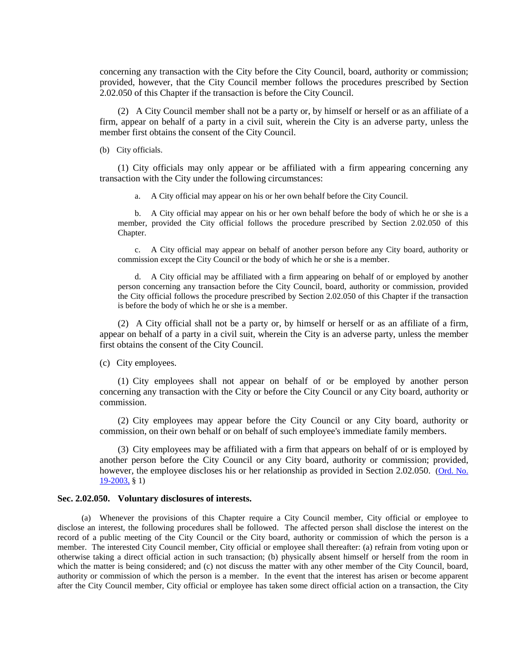concerning any transaction with the City before the City Council, board, authority or commission; provided, however, that the City Council member follows the procedures prescribed by Section 2.02.050 of this Chapter if the transaction is before the City Council.

(2) A City Council member shall not be a party or, by himself or herself or as an affiliate of a firm, appear on behalf of a party in a civil suit, wherein the City is an adverse party, unless the member first obtains the consent of the City Council.

(b) City officials.

(1) City officials may only appear or be affiliated with a firm appearing concerning any transaction with the City under the following circumstances:

a. A City official may appear on his or her own behalf before the City Council.

b. A City official may appear on his or her own behalf before the body of which he or she is a member, provided the City official follows the procedure prescribed by Section 2.02.050 of this Chapter.

c. A City official may appear on behalf of another person before any City board, authority or commission except the City Council or the body of which he or she is a member.

d. A City official may be affiliated with a firm appearing on behalf of or employed by another person concerning any transaction before the City Council, board, authority or commission, provided the City official follows the procedure prescribed by Section 2.02.050 of this Chapter if the transaction is before the body of which he or she is a member.

(2) A City official shall not be a party or, by himself or herself or as an affiliate of a firm, appear on behalf of a party in a civil suit, wherein the City is an adverse party, unless the member first obtains the consent of the City Council.

(c) City employees.

(1) City employees shall not appear on behalf of or be employed by another person concerning any transaction with the City or before the City Council or any City board, authority or commission.

(2) City employees may appear before the City Council or any City board, authority or commission, on their own behalf or on behalf of such employee's immediate family members.

(3) City employees may be affiliated with a firm that appears on behalf of or is employed by another person before the City Council or any City board, authority or commission; provided, however, the employee discloses his or her relationship as provided in Section 2.02.050. (Ord. No. [19-2003,](http://205.170.51.183/WebLink8/DocView.aspx?id=33222&dbid=0) § 1)

# <span id="page-6-0"></span>**Sec. 2.02.050. Voluntary disclosures of interests.**

(a) Whenever the provisions of this Chapter require a City Council member, City official or employee to disclose an interest, the following procedures shall be followed. The affected person shall disclose the interest on the record of a public meeting of the City Council or the City board, authority or commission of which the person is a member. The interested City Council member, City official or employee shall thereafter: (a) refrain from voting upon or otherwise taking a direct official action in such transaction; (b) physically absent himself or herself from the room in which the matter is being considered; and (c) not discuss the matter with any other member of the City Council, board, authority or commission of which the person is a member. In the event that the interest has arisen or become apparent after the City Council member, City official or employee has taken some direct official action on a transaction, the City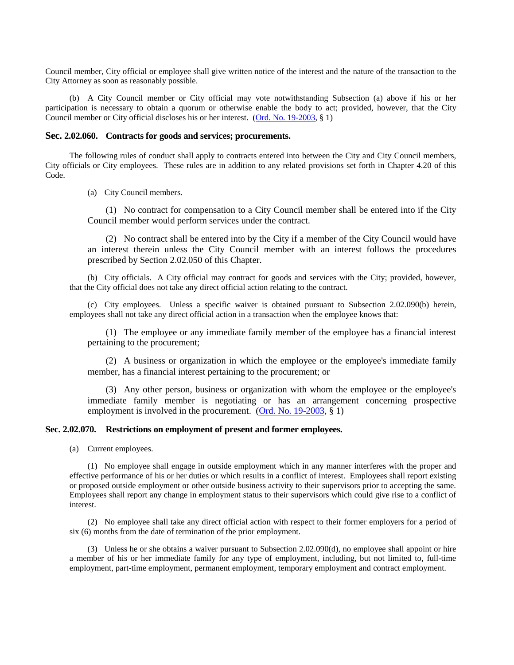Council member, City official or employee shall give written notice of the interest and the nature of the transaction to the City Attorney as soon as reasonably possible.

(b) A City Council member or City official may vote notwithstanding Subsection (a) above if his or her participation is necessary to obtain a quorum or otherwise enable the body to act; provided, however, that the City Council member or City official discloses his or her interest. [\(Ord. No. 19-2003,](http://205.170.51.183/WebLink8/DocView.aspx?id=33222&dbid=0) § 1)

# <span id="page-7-0"></span>**Sec. 2.02.060. Contracts for goods and services; procurements.**

The following rules of conduct shall apply to contracts entered into between the City and City Council members, City officials or City employees. These rules are in addition to any related provisions set forth in Chapter 4.20 of this Code.

(a) City Council members.

(1) No contract for compensation to a City Council member shall be entered into if the City Council member would perform services under the contract.

(2) No contract shall be entered into by the City if a member of the City Council would have an interest therein unless the City Council member with an interest follows the procedures prescribed by Section 2.02.050 of this Chapter.

(b) City officials. A City official may contract for goods and services with the City; provided, however, that the City official does not take any direct official action relating to the contract.

(c) City employees. Unless a specific waiver is obtained pursuant to Subsection 2.02.090(b) herein, employees shall not take any direct official action in a transaction when the employee knows that:

(1) The employee or any immediate family member of the employee has a financial interest pertaining to the procurement;

(2) A business or organization in which the employee or the employee's immediate family member, has a financial interest pertaining to the procurement; or

(3) Any other person, business or organization with whom the employee or the employee's immediate family member is negotiating or has an arrangement concerning prospective employment is involved in the procurement. [\(Ord. No. 19-2003,](http://205.170.51.183/WebLink8/DocView.aspx?id=33222&dbid=0) § 1)

# <span id="page-7-1"></span>**Sec. 2.02.070. Restrictions on employment of present and former employees.**

(a) Current employees.

(1) No employee shall engage in outside employment which in any manner interferes with the proper and effective performance of his or her duties or which results in a conflict of interest. Employees shall report existing or proposed outside employment or other outside business activity to their supervisors prior to accepting the same. Employees shall report any change in employment status to their supervisors which could give rise to a conflict of interest.

(2) No employee shall take any direct official action with respect to their former employers for a period of six (6) months from the date of termination of the prior employment.

(3) Unless he or she obtains a waiver pursuant to Subsection 2.02.090(d), no employee shall appoint or hire a member of his or her immediate family for any type of employment, including, but not limited to, full-time employment, part-time employment, permanent employment, temporary employment and contract employment.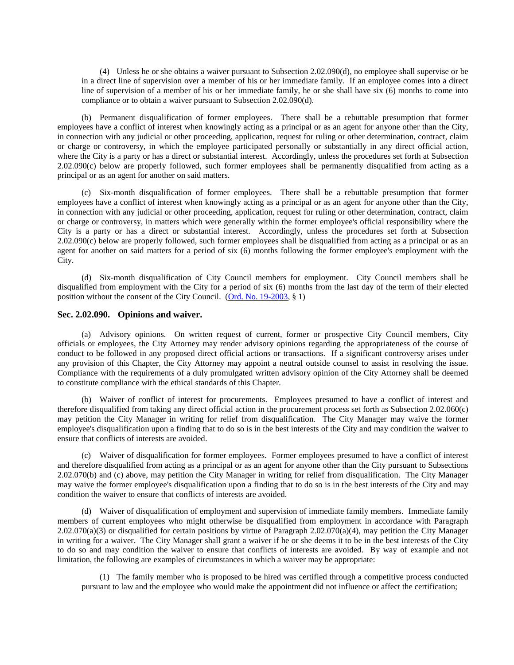(4) Unless he or she obtains a waiver pursuant to Subsection 2.02.090(d), no employee shall supervise or be in a direct line of supervision over a member of his or her immediate family. If an employee comes into a direct line of supervision of a member of his or her immediate family, he or she shall have six (6) months to come into compliance or to obtain a waiver pursuant to Subsection 2.02.090(d).

(b) Permanent disqualification of former employees. There shall be a rebuttable presumption that former employees have a conflict of interest when knowingly acting as a principal or as an agent for anyone other than the City, in connection with any judicial or other proceeding, application, request for ruling or other determination, contract, claim or charge or controversy, in which the employee participated personally or substantially in any direct official action, where the City is a party or has a direct or substantial interest. Accordingly, unless the procedures set forth at Subsection 2.02.090(c) below are properly followed, such former employees shall be permanently disqualified from acting as a principal or as an agent for another on said matters.

(c) Six-month disqualification of former employees. There shall be a rebuttable presumption that former employees have a conflict of interest when knowingly acting as a principal or as an agent for anyone other than the City, in connection with any judicial or other proceeding, application, request for ruling or other determination, contract, claim or charge or controversy, in matters which were generally within the former employee's official responsibility where the City is a party or has a direct or substantial interest. Accordingly, unless the procedures set forth at Subsection 2.02.090(c) below are properly followed, such former employees shall be disqualified from acting as a principal or as an agent for another on said matters for a period of six (6) months following the former employee's employment with the City.

(d) Six-month disqualification of City Council members for employment. City Council members shall be disqualified from employment with the City for a period of six (6) months from the last day of the term of their elected position without the consent of the City Council. [\(Ord. No. 19-2003,](http://205.170.51.183/WebLink8/DocView.aspx?id=33222&dbid=0) § 1)

### <span id="page-8-0"></span>**Sec. 2.02.090. Opinions and waiver.**

(a) Advisory opinions. On written request of current, former or prospective City Council members, City officials or employees, the City Attorney may render advisory opinions regarding the appropriateness of the course of conduct to be followed in any proposed direct official actions or transactions. If a significant controversy arises under any provision of this Chapter, the City Attorney may appoint a neutral outside counsel to assist in resolving the issue. Compliance with the requirements of a duly promulgated written advisory opinion of the City Attorney shall be deemed to constitute compliance with the ethical standards of this Chapter.

(b) Waiver of conflict of interest for procurements. Employees presumed to have a conflict of interest and therefore disqualified from taking any direct official action in the procurement process set forth as Subsection 2.02.060(c) may petition the City Manager in writing for relief from disqualification. The City Manager may waive the former employee's disqualification upon a finding that to do so is in the best interests of the City and may condition the waiver to ensure that conflicts of interests are avoided.

(c) Waiver of disqualification for former employees. Former employees presumed to have a conflict of interest and therefore disqualified from acting as a principal or as an agent for anyone other than the City pursuant to Subsections 2.02.070(b) and (c) above, may petition the City Manager in writing for relief from disqualification. The City Manager may waive the former employee's disqualification upon a finding that to do so is in the best interests of the City and may condition the waiver to ensure that conflicts of interests are avoided.

(d) Waiver of disqualification of employment and supervision of immediate family members. Immediate family members of current employees who might otherwise be disqualified from employment in accordance with Paragraph 2.02.070(a)(3) or disqualified for certain positions by virtue of Paragraph 2.02.070(a)(4), may petition the City Manager in writing for a waiver. The City Manager shall grant a waiver if he or she deems it to be in the best interests of the City to do so and may condition the waiver to ensure that conflicts of interests are avoided. By way of example and not limitation, the following are examples of circumstances in which a waiver may be appropriate:

(1) The family member who is proposed to be hired was certified through a competitive process conducted pursuant to law and the employee who would make the appointment did not influence or affect the certification;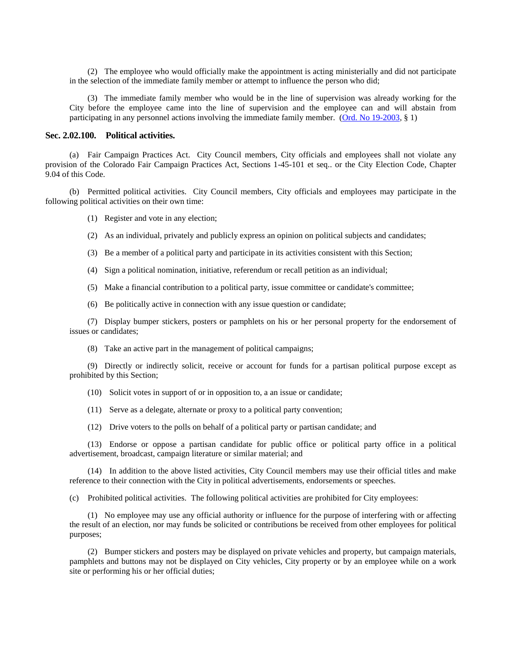(2) The employee who would officially make the appointment is acting ministerially and did not participate in the selection of the immediate family member or attempt to influence the person who did;

(3) The immediate family member who would be in the line of supervision was already working for the City before the employee came into the line of supervision and the employee can and will abstain from participating in any personnel actions involving the immediate family member. [\(Ord. No 19-2003,](http://205.170.51.183/WebLink8/DocView.aspx?id=33222&dbid=0) § 1)

### <span id="page-9-0"></span>**Sec. 2.02.100. Political activities.**

(a) Fair Campaign Practices Act. City Council members, City officials and employees shall not violate any provision of the Colorado Fair Campaign Practices Act, Sections 1-45-101 et seq.. or the City Election Code, Chapter 9.04 of this Code.

(b) Permitted political activities. City Council members, City officials and employees may participate in the following political activities on their own time:

(1) Register and vote in any election;

- (2) As an individual, privately and publicly express an opinion on political subjects and candidates;
- (3) Be a member of a political party and participate in its activities consistent with this Section;
- (4) Sign a political nomination, initiative, referendum or recall petition as an individual;
- (5) Make a financial contribution to a political party, issue committee or candidate's committee;
- (6) Be politically active in connection with any issue question or candidate;

(7) Display bumper stickers, posters or pamphlets on his or her personal property for the endorsement of issues or candidates;

(8) Take an active part in the management of political campaigns;

(9) Directly or indirectly solicit, receive or account for funds for a partisan political purpose except as prohibited by this Section;

(10) Solicit votes in support of or in opposition to, a an issue or candidate;

- (11) Serve as a delegate, alternate or proxy to a political party convention;
- (12) Drive voters to the polls on behalf of a political party or partisan candidate; and

(13) Endorse or oppose a partisan candidate for public office or political party office in a political advertisement, broadcast, campaign literature or similar material; and

(14) In addition to the above listed activities, City Council members may use their official titles and make reference to their connection with the City in political advertisements, endorsements or speeches.

(c) Prohibited political activities. The following political activities are prohibited for City employees:

(1) No employee may use any official authority or influence for the purpose of interfering with or affecting the result of an election, nor may funds be solicited or contributions be received from other employees for political purposes;

(2) Bumper stickers and posters may be displayed on private vehicles and property, but campaign materials, pamphlets and buttons may not be displayed on City vehicles, City property or by an employee while on a work site or performing his or her official duties;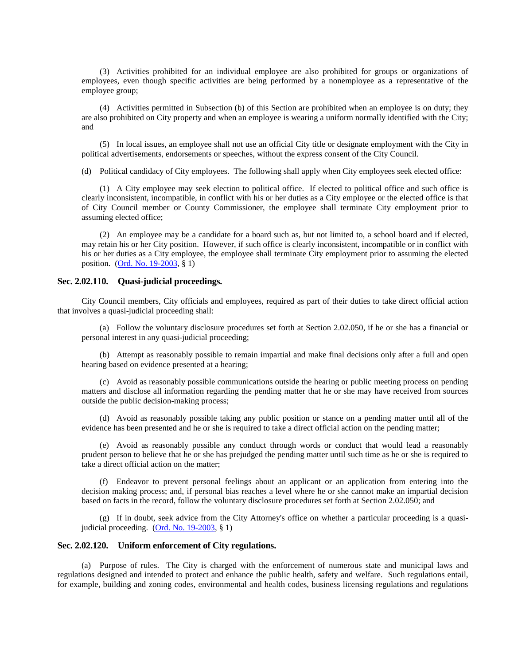(3) Activities prohibited for an individual employee are also prohibited for groups or organizations of employees, even though specific activities are being performed by a nonemployee as a representative of the employee group;

(4) Activities permitted in Subsection (b) of this Section are prohibited when an employee is on duty; they are also prohibited on City property and when an employee is wearing a uniform normally identified with the City; and

(5) In local issues, an employee shall not use an official City title or designate employment with the City in political advertisements, endorsements or speeches, without the express consent of the City Council.

(d) Political candidacy of City employees. The following shall apply when City employees seek elected office:

(1) A City employee may seek election to political office. If elected to political office and such office is clearly inconsistent, incompatible, in conflict with his or her duties as a City employee or the elected office is that of City Council member or County Commissioner, the employee shall terminate City employment prior to assuming elected office;

(2) An employee may be a candidate for a board such as, but not limited to, a school board and if elected, may retain his or her City position. However, if such office is clearly inconsistent, incompatible or in conflict with his or her duties as a City employee, the employee shall terminate City employment prior to assuming the elected position. [\(Ord. No. 19-2003,](http://205.170.51.183/WebLink8/DocView.aspx?id=33222&dbid=0) § 1)

## <span id="page-10-0"></span>**Sec. 2.02.110. Quasi-judicial proceedings.**

City Council members, City officials and employees, required as part of their duties to take direct official action that involves a quasi-judicial proceeding shall:

(a) Follow the voluntary disclosure procedures set forth at Section 2.02.050, if he or she has a financial or personal interest in any quasi-judicial proceeding;

(b) Attempt as reasonably possible to remain impartial and make final decisions only after a full and open hearing based on evidence presented at a hearing;

(c) Avoid as reasonably possible communications outside the hearing or public meeting process on pending matters and disclose all information regarding the pending matter that he or she may have received from sources outside the public decision-making process;

(d) Avoid as reasonably possible taking any public position or stance on a pending matter until all of the evidence has been presented and he or she is required to take a direct official action on the pending matter;

(e) Avoid as reasonably possible any conduct through words or conduct that would lead a reasonably prudent person to believe that he or she has prejudged the pending matter until such time as he or she is required to take a direct official action on the matter;

(f) Endeavor to prevent personal feelings about an applicant or an application from entering into the decision making process; and, if personal bias reaches a level where he or she cannot make an impartial decision based on facts in the record, follow the voluntary disclosure procedures set forth at Section 2.02.050; and

(g) If in doubt, seek advice from the City Attorney's office on whether a particular proceeding is a quasijudicial proceeding. [\(Ord. No. 19-2003,](http://205.170.51.183/WebLink8/DocView.aspx?id=33222&dbid=0) § 1)

# <span id="page-10-1"></span>**Sec. 2.02.120. Uniform enforcement of City regulations.**

(a) Purpose of rules. The City is charged with the enforcement of numerous state and municipal laws and regulations designed and intended to protect and enhance the public health, safety and welfare. Such regulations entail, for example, building and zoning codes, environmental and health codes, business licensing regulations and regulations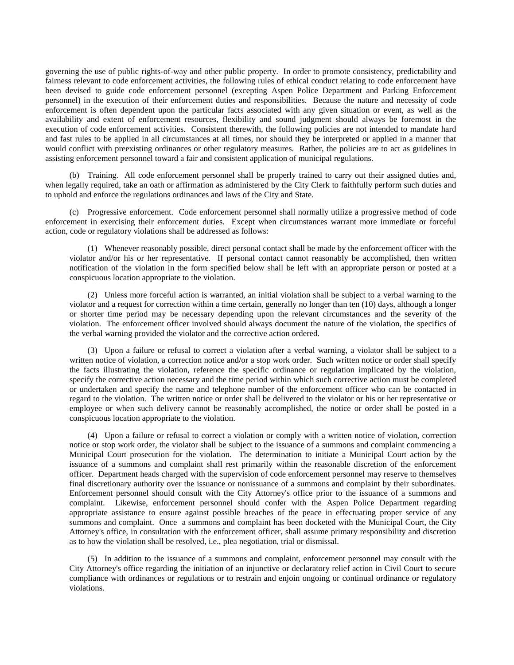governing the use of public rights-of-way and other public property. In order to promote consistency, predictability and fairness relevant to code enforcement activities, the following rules of ethical conduct relating to code enforcement have been devised to guide code enforcement personnel (excepting Aspen Police Department and Parking Enforcement personnel) in the execution of their enforcement duties and responsibilities. Because the nature and necessity of code enforcement is often dependent upon the particular facts associated with any given situation or event, as well as the availability and extent of enforcement resources, flexibility and sound judgment should always be foremost in the execution of code enforcement activities. Consistent therewith, the following policies are not intended to mandate hard and fast rules to be applied in all circumstances at all times, nor should they be interpreted or applied in a manner that would conflict with preexisting ordinances or other regulatory measures. Rather, the policies are to act as guidelines in assisting enforcement personnel toward a fair and consistent application of municipal regulations.

(b) Training. All code enforcement personnel shall be properly trained to carry out their assigned duties and, when legally required, take an oath or affirmation as administered by the City Clerk to faithfully perform such duties and to uphold and enforce the regulations ordinances and laws of the City and State.

(c) Progressive enforcement. Code enforcement personnel shall normally utilize a progressive method of code enforcement in exercising their enforcement duties. Except when circumstances warrant more immediate or forceful action, code or regulatory violations shall be addressed as follows:

(1) Whenever reasonably possible, direct personal contact shall be made by the enforcement officer with the violator and/or his or her representative. If personal contact cannot reasonably be accomplished, then written notification of the violation in the form specified below shall be left with an appropriate person or posted at a conspicuous location appropriate to the violation.

(2) Unless more forceful action is warranted, an initial violation shall be subject to a verbal warning to the violator and a request for correction within a time certain, generally no longer than ten (10) days, although a longer or shorter time period may be necessary depending upon the relevant circumstances and the severity of the violation. The enforcement officer involved should always document the nature of the violation, the specifics of the verbal warning provided the violator and the corrective action ordered.

(3) Upon a failure or refusal to correct a violation after a verbal warning, a violator shall be subject to a written notice of violation, a correction notice and/or a stop work order. Such written notice or order shall specify the facts illustrating the violation, reference the specific ordinance or regulation implicated by the violation, specify the corrective action necessary and the time period within which such corrective action must be completed or undertaken and specify the name and telephone number of the enforcement officer who can be contacted in regard to the violation. The written notice or order shall be delivered to the violator or his or her representative or employee or when such delivery cannot be reasonably accomplished, the notice or order shall be posted in a conspicuous location appropriate to the violation.

(4) Upon a failure or refusal to correct a violation or comply with a written notice of violation, correction notice or stop work order, the violator shall be subject to the issuance of a summons and complaint commencing a Municipal Court prosecution for the violation. The determination to initiate a Municipal Court action by the issuance of a summons and complaint shall rest primarily within the reasonable discretion of the enforcement officer. Department heads charged with the supervision of code enforcement personnel may reserve to themselves final discretionary authority over the issuance or nonissuance of a summons and complaint by their subordinates. Enforcement personnel should consult with the City Attorney's office prior to the issuance of a summons and complaint. Likewise, enforcement personnel should confer with the Aspen Police Department regarding appropriate assistance to ensure against possible breaches of the peace in effectuating proper service of any summons and complaint. Once a summons and complaint has been docketed with the Municipal Court, the City Attorney's office, in consultation with the enforcement officer, shall assume primary responsibility and discretion as to how the violation shall be resolved, i.e., plea negotiation, trial or dismissal.

(5) In addition to the issuance of a summons and complaint, enforcement personnel may consult with the City Attorney's office regarding the initiation of an injunctive or declaratory relief action in Civil Court to secure compliance with ordinances or regulations or to restrain and enjoin ongoing or continual ordinance or regulatory violations.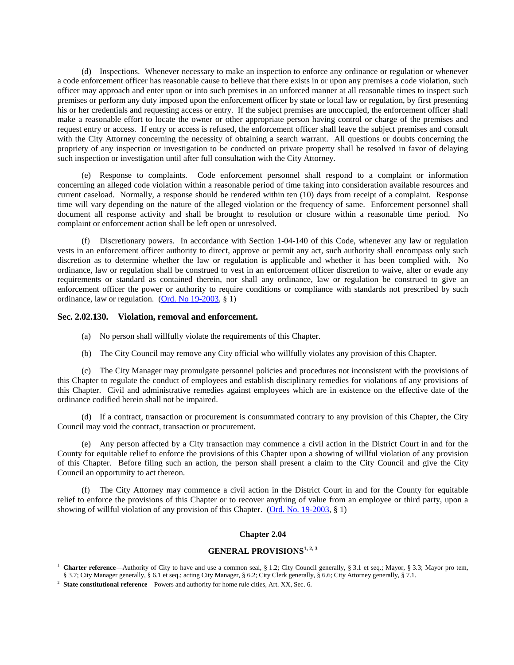(d) Inspections. Whenever necessary to make an inspection to enforce any ordinance or regulation or whenever a code enforcement officer has reasonable cause to believe that there exists in or upon any premises a code violation, such officer may approach and enter upon or into such premises in an unforced manner at all reasonable times to inspect such premises or perform any duty imposed upon the enforcement officer by state or local law or regulation, by first presenting his or her credentials and requesting access or entry. If the subject premises are unoccupied, the enforcement officer shall make a reasonable effort to locate the owner or other appropriate person having control or charge of the premises and request entry or access. If entry or access is refused, the enforcement officer shall leave the subject premises and consult with the City Attorney concerning the necessity of obtaining a search warrant. All questions or doubts concerning the propriety of any inspection or investigation to be conducted on private property shall be resolved in favor of delaying such inspection or investigation until after full consultation with the City Attorney.

(e) Response to complaints. Code enforcement personnel shall respond to a complaint or information concerning an alleged code violation within a reasonable period of time taking into consideration available resources and current caseload. Normally, a response should be rendered within ten (10) days from receipt of a complaint. Response time will vary depending on the nature of the alleged violation or the frequency of same. Enforcement personnel shall document all response activity and shall be brought to resolution or closure within a reasonable time period. No complaint or enforcement action shall be left open or unresolved.

(f) Discretionary powers. In accordance with Section 1-04-140 of this Code, whenever any law or regulation vests in an enforcement officer authority to direct, approve or permit any act, such authority shall encompass only such discretion as to determine whether the law or regulation is applicable and whether it has been complied with. No ordinance, law or regulation shall be construed to vest in an enforcement officer discretion to waive, alter or evade any requirements or standard as contained therein, nor shall any ordinance, law or regulation be construed to give an enforcement officer the power or authority to require conditions or compliance with standards not prescribed by such ordinance, law or regulation. [\(Ord. No 19-2003,](http://205.170.51.183/WebLink8/DocView.aspx?id=33222&dbid=0) § 1)

### <span id="page-12-0"></span>**Sec. 2.02.130. Violation, removal and enforcement.**

- (a) No person shall willfully violate the requirements of this Chapter.
- (b) The City Council may remove any City official who willfully violates any provision of this Chapter.

(c) The City Manager may promulgate personnel policies and procedures not inconsistent with the provisions of this Chapter to regulate the conduct of employees and establish disciplinary remedies for violations of any provisions of this Chapter. Civil and administrative remedies against employees which are in existence on the effective date of the ordinance codified herein shall not be impaired.

(d) If a contract, transaction or procurement is consummated contrary to any provision of this Chapter, the City Council may void the contract, transaction or procurement.

(e) Any person affected by a City transaction may commence a civil action in the District Court in and for the County for equitable relief to enforce the provisions of this Chapter upon a showing of willful violation of any provision of this Chapter. Before filing such an action, the person shall present a claim to the City Council and give the City Council an opportunity to act thereon.

(f) The City Attorney may commence a civil action in the District Court in and for the County for equitable relief to enforce the provisions of this Chapter or to recover anything of value from an employee or third party, upon a showing of willful violation of any provision of this Chapter. [\(Ord. No. 19-2003,](http://205.170.51.183/WebLink8/DocView.aspx?id=33222&dbid=0) § 1)

### **Chapter 2.04**

# **GENERAL PROVISIONS1, 2, 3**

<sup>1</sup> **Charter reference**—Authority of City to have and use a common seal, § 1.2; City Council generally, § 3.1 et seq.; Mayor, § 3.3; Mayor pro tem, § 3.7; City Manager generally, § 6.1 et seq.; acting City Manager, § 6.2; City Clerk generally, § 6.6; City Attorney generally, § 7.1.

<sup>&</sup>lt;sup>2</sup> **State constitutional reference**—Powers and authority for home rule cities, Art. XX, Sec. 6.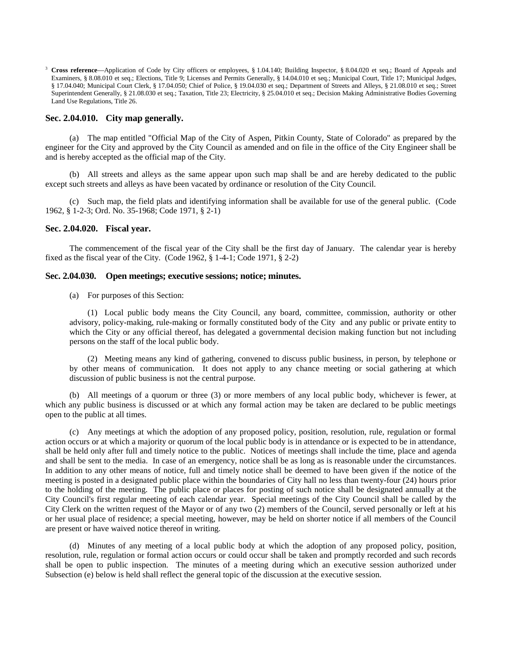<sup>3</sup> **Cross reference**—Application of Code by City officers or employees, § 1.04.140; Building Inspector, § 8.04.020 et seq.; Board of Appeals and Examiners, § 8.08.010 et seq.; Elections, Title 9; Licenses and Permits Generally, § 14.04.010 et seq.; Municipal Court, Title 17; Municipal Judges, § 17.04.040; Municipal Court Clerk, § 17.04.050; Chief of Police, § 19.04.030 et seq.; Department of Streets and Alleys, § 21.08.010 et seq.; Street Superintendent Generally, § 21.08.030 et seq.; Taxation, Title 23; Electricity, § 25.04.010 et seq.; Decision Making Administrative Bodies Governing Land Use Regulations, Title 26.

# <span id="page-13-0"></span>**Sec. 2.04.010. City map generally.**

(a) The map entitled "Official Map of the City of Aspen, Pitkin County, State of Colorado" as prepared by the engineer for the City and approved by the City Council as amended and on file in the office of the City Engineer shall be and is hereby accepted as the official map of the City.

(b) All streets and alleys as the same appear upon such map shall be and are hereby dedicated to the public except such streets and alleys as have been vacated by ordinance or resolution of the City Council.

(c) Such map, the field plats and identifying information shall be available for use of the general public. (Code 1962, § 1-2-3; Ord. No. 35-1968; Code 1971, § 2-1)

## <span id="page-13-1"></span>**Sec. 2.04.020. Fiscal year.**

The commencement of the fiscal year of the City shall be the first day of January. The calendar year is hereby fixed as the fiscal year of the City. (Code 1962, § 1-4-1; Code 1971, § 2-2)

## <span id="page-13-2"></span>**Sec. 2.04.030. Open meetings; executive sessions; notice; minutes.**

(a) For purposes of this Section:

(1) Local public body means the City Council, any board, committee, commission, authority or other advisory, policy-making, rule-making or formally constituted body of the City and any public or private entity to which the City or any official thereof, has delegated a governmental decision making function but not including persons on the staff of the local public body.

(2) Meeting means any kind of gathering, convened to discuss public business, in person, by telephone or by other means of communication. It does not apply to any chance meeting or social gathering at which discussion of public business is not the central purpose.

(b) All meetings of a quorum or three (3) or more members of any local public body, whichever is fewer, at which any public business is discussed or at which any formal action may be taken are declared to be public meetings open to the public at all times.

(c) Any meetings at which the adoption of any proposed policy, position, resolution, rule, regulation or formal action occurs or at which a majority or quorum of the local public body is in attendance or is expected to be in attendance, shall be held only after full and timely notice to the public. Notices of meetings shall include the time, place and agenda and shall be sent to the media. In case of an emergency, notice shall be as long as is reasonable under the circumstances. In addition to any other means of notice, full and timely notice shall be deemed to have been given if the notice of the meeting is posted in a designated public place within the boundaries of City hall no less than twenty-four (24) hours prior to the holding of the meeting. The public place or places for posting of such notice shall be designated annually at the City Council's first regular meeting of each calendar year. Special meetings of the City Council shall be called by the City Clerk on the written request of the Mayor or of any two (2) members of the Council, served personally or left at his or her usual place of residence; a special meeting, however, may be held on shorter notice if all members of the Council are present or have waived notice thereof in writing.

(d) Minutes of any meeting of a local public body at which the adoption of any proposed policy, position, resolution, rule, regulation or formal action occurs or could occur shall be taken and promptly recorded and such records shall be open to public inspection. The minutes of a meeting during which an executive session authorized under Subsection (e) below is held shall reflect the general topic of the discussion at the executive session.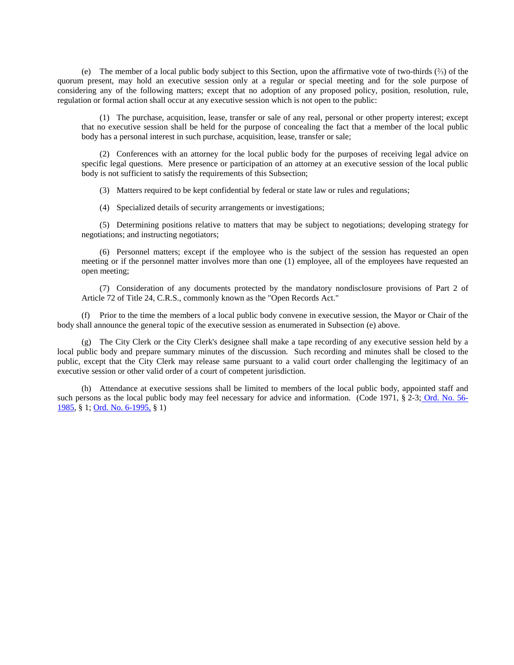(e) The member of a local public body subject to this Section, upon the affirmative vote of two-thirds (⅔) of the quorum present, may hold an executive session only at a regular or special meeting and for the sole purpose of considering any of the following matters; except that no adoption of any proposed policy, position, resolution, rule, regulation or formal action shall occur at any executive session which is not open to the public:

(1) The purchase, acquisition, lease, transfer or sale of any real, personal or other property interest; except that no executive session shall be held for the purpose of concealing the fact that a member of the local public body has a personal interest in such purchase, acquisition, lease, transfer or sale;

(2) Conferences with an attorney for the local public body for the purposes of receiving legal advice on specific legal questions. Mere presence or participation of an attorney at an executive session of the local public body is not sufficient to satisfy the requirements of this Subsection;

(3) Matters required to be kept confidential by federal or state law or rules and regulations;

(4) Specialized details of security arrangements or investigations;

(5) Determining positions relative to matters that may be subject to negotiations; developing strategy for negotiations; and instructing negotiators;

(6) Personnel matters; except if the employee who is the subject of the session has requested an open meeting or if the personnel matter involves more than one (1) employee, all of the employees have requested an open meeting;

(7) Consideration of any documents protected by the mandatory nondisclosure provisions of Part 2 of Article 72 of Title 24, C.R.S., commonly known as the "Open Records Act."

(f) Prior to the time the members of a local public body convene in executive session, the Mayor or Chair of the body shall announce the general topic of the executive session as enumerated in Subsection (e) above.

(g) The City Clerk or the City Clerk's designee shall make a tape recording of any executive session held by a local public body and prepare summary minutes of the discussion. Such recording and minutes shall be closed to the public, except that the City Clerk may release same pursuant to a valid court order challenging the legitimacy of an executive session or other valid order of a court of competent jurisdiction.

(h) Attendance at executive sessions shall be limited to members of the local public body, appointed staff and such persons as the local public body may feel necessary for advice and information. (Code 1971, § 2-3; [Ord. No. 56-](http://205.170.51.183/WebLink8/0/doc/8883/Page1.aspx) [1985,](http://205.170.51.183/WebLink8/0/doc/8883/Page1.aspx) § 1; [Ord. No. 6-1995,](http://205.170.51.183/WebLink8/DocView.aspx?id=3500&dbid=0) § 1)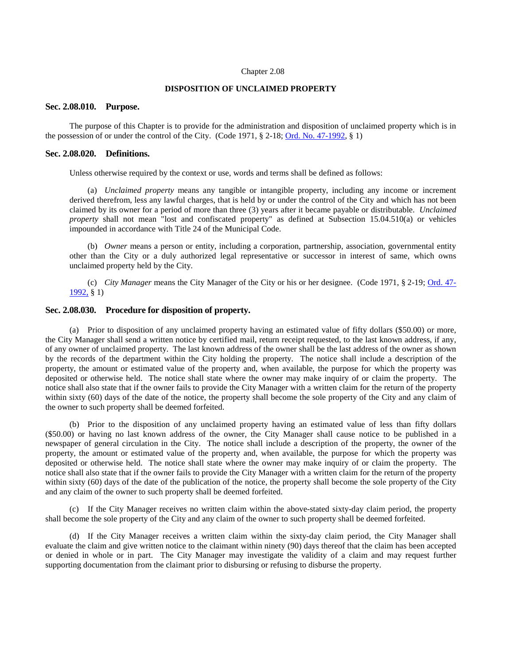#### Chapter 2.08

### **DISPOSITION OF UNCLAIMED PROPERTY**

### <span id="page-15-0"></span>**Sec. 2.08.010. Purpose.**

The purpose of this Chapter is to provide for the administration and disposition of unclaimed property which is in the possession of or under the control of the City. (Code 1971, § 2-18; [Ord. No. 47-1992,](http://205.170.51.183/WebLink8/0/doc/4882/Page1.aspx) § 1)

## <span id="page-15-1"></span>**Sec. 2.08.020. Definitions.**

Unless otherwise required by the context or use, words and terms shall be defined as follows:

(a) *Unclaimed property* means any tangible or intangible property, including any income or increment derived therefrom, less any lawful charges, that is held by or under the control of the City and which has not been claimed by its owner for a period of more than three (3) years after it became payable or distributable. *Unclaimed property* shall not mean "lost and confiscated property" as defined at Subsection 15.04.510(a) or vehicles impounded in accordance with Title 24 of the Municipal Code.

(b) *Owner* means a person or entity, including a corporation, partnership, association, governmental entity other than the City or a duly authorized legal representative or successor in interest of same, which owns unclaimed property held by the City.

(c) *City Manager* means the City Manager of the City or his or her designee. (Code 1971, § 2-19; [Ord. 47-](http://205.170.51.183/WebLink8/0/doc/4882/Page1.aspx) [1992,](http://205.170.51.183/WebLink8/0/doc/4882/Page1.aspx) § 1)

## <span id="page-15-2"></span>**Sec. 2.08.030. Procedure for disposition of property.**

(a) Prior to disposition of any unclaimed property having an estimated value of fifty dollars (\$50.00) or more, the City Manager shall send a written notice by certified mail, return receipt requested, to the last known address, if any, of any owner of unclaimed property. The last known address of the owner shall be the last address of the owner as shown by the records of the department within the City holding the property. The notice shall include a description of the property, the amount or estimated value of the property and, when available, the purpose for which the property was deposited or otherwise held. The notice shall state where the owner may make inquiry of or claim the property. The notice shall also state that if the owner fails to provide the City Manager with a written claim for the return of the property within sixty (60) days of the date of the notice, the property shall become the sole property of the City and any claim of the owner to such property shall be deemed forfeited.

(b) Prior to the disposition of any unclaimed property having an estimated value of less than fifty dollars (\$50.00) or having no last known address of the owner, the City Manager shall cause notice to be published in a newspaper of general circulation in the City. The notice shall include a description of the property, the owner of the property, the amount or estimated value of the property and, when available, the purpose for which the property was deposited or otherwise held. The notice shall state where the owner may make inquiry of or claim the property. The notice shall also state that if the owner fails to provide the City Manager with a written claim for the return of the property within sixty (60) days of the date of the publication of the notice, the property shall become the sole property of the City and any claim of the owner to such property shall be deemed forfeited.

(c) If the City Manager receives no written claim within the above-stated sixty-day claim period, the property shall become the sole property of the City and any claim of the owner to such property shall be deemed forfeited.

(d) If the City Manager receives a written claim within the sixty-day claim period, the City Manager shall evaluate the claim and give written notice to the claimant within ninety (90) days thereof that the claim has been accepted or denied in whole or in part. The City Manager may investigate the validity of a claim and may request further supporting documentation from the claimant prior to disbursing or refusing to disburse the property.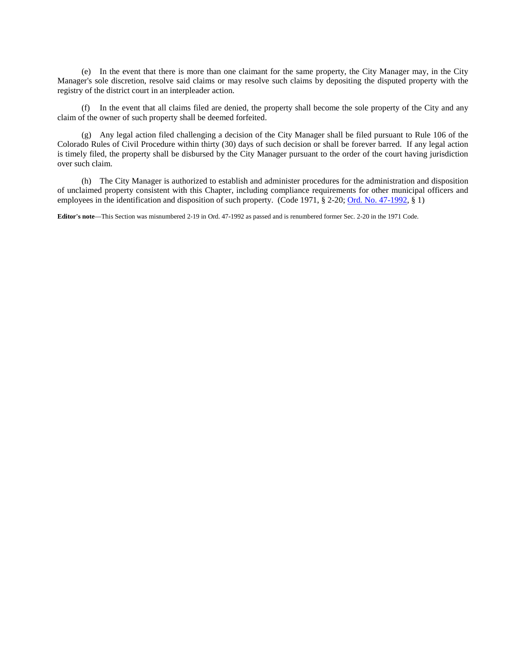(e) In the event that there is more than one claimant for the same property, the City Manager may, in the City Manager's sole discretion, resolve said claims or may resolve such claims by depositing the disputed property with the registry of the district court in an interpleader action.

(f) In the event that all claims filed are denied, the property shall become the sole property of the City and any claim of the owner of such property shall be deemed forfeited.

(g) Any legal action filed challenging a decision of the City Manager shall be filed pursuant to Rule 106 of the Colorado Rules of Civil Procedure within thirty (30) days of such decision or shall be forever barred. If any legal action is timely filed, the property shall be disbursed by the City Manager pursuant to the order of the court having jurisdiction over such claim.

(h) The City Manager is authorized to establish and administer procedures for the administration and disposition of unclaimed property consistent with this Chapter, including compliance requirements for other municipal officers and employees in the identification and disposition of such property. (Code 1971, § 2-20; [Ord. No. 47-1992,](http://205.170.51.183/WebLink8/0/doc/4882/Page1.aspx) § 1)

**Editor's note**—This Section was misnumbered 2-19 in Ord. 47-1992 as passed and is renumbered former Sec. 2-20 in the 1971 Code.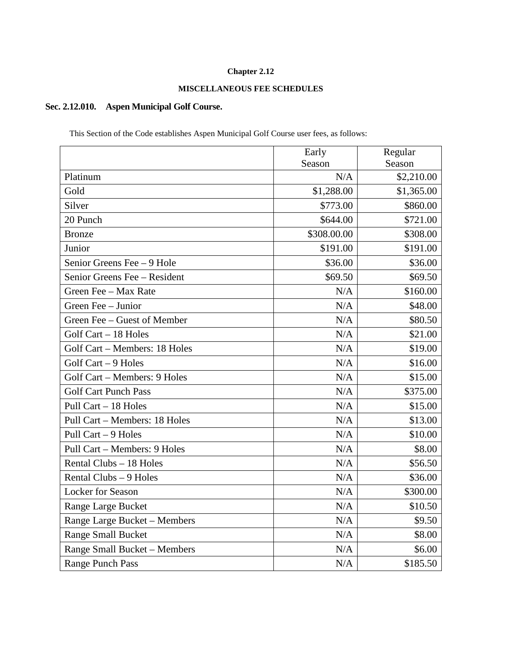# **Chapter 2.12**

# **MISCELLANEOUS FEE SCHEDULES**

# <span id="page-17-0"></span>**Sec. 2.12.010. Aspen Municipal Golf Course.**

This Section of the Code establishes Aspen Municipal Golf Course user fees, as follows:

|                               | Early       | Regular    |
|-------------------------------|-------------|------------|
|                               | Season      | Season     |
| Platinum                      | N/A         | \$2,210.00 |
| Gold                          | \$1,288.00  | \$1,365.00 |
| Silver                        | \$773.00    | \$860.00   |
| 20 Punch                      | \$644.00    | \$721.00   |
| <b>Bronze</b>                 | \$308.00.00 | \$308.00   |
| Junior                        | \$191.00    | \$191.00   |
| Senior Greens Fee - 9 Hole    | \$36.00     | \$36.00    |
| Senior Greens Fee - Resident  | \$69.50     | \$69.50    |
| Green Fee - Max Rate          | N/A         | \$160.00   |
| Green Fee - Junior            | N/A         | \$48.00    |
| Green Fee - Guest of Member   | N/A         | \$80.50    |
| Golf Cart - 18 Holes          | N/A         | \$21.00    |
| Golf Cart - Members: 18 Holes | N/A         | \$19.00    |
| Golf Cart - 9 Holes           | N/A         | \$16.00    |
| Golf Cart - Members: 9 Holes  | N/A         | \$15.00    |
| <b>Golf Cart Punch Pass</b>   | N/A         | \$375.00   |
| Pull Cart - 18 Holes          | N/A         | \$15.00    |
| Pull Cart - Members: 18 Holes | N/A         | \$13.00    |
| Pull Cart - 9 Holes           | N/A         | \$10.00    |
| Pull Cart - Members: 9 Holes  | N/A         | \$8.00     |
| Rental Clubs - 18 Holes       | N/A         | \$56.50    |
| Rental Clubs - 9 Holes        | N/A         | \$36.00    |
| <b>Locker</b> for Season      | N/A         | \$300.00   |
| Range Large Bucket            | N/A         | \$10.50    |
| Range Large Bucket - Members  | N/A         | \$9.50     |
| <b>Range Small Bucket</b>     | N/A         | \$8.00     |
| Range Small Bucket - Members  | N/A         | \$6.00     |
| <b>Range Punch Pass</b>       | N/A         | \$185.50   |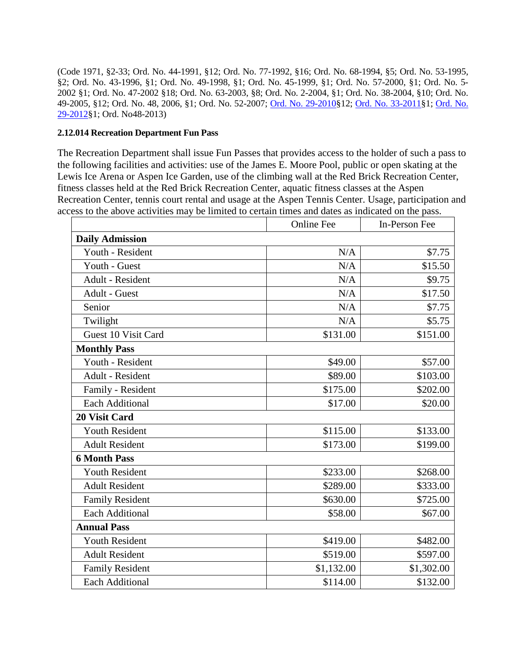(Code 1971, §2-33; Ord. No. 44-1991, §12; Ord. No. 77-1992, §16; Ord. No. 68-1994, §5; Ord. No. 53-1995, §2; Ord. No. 43-1996, §1; Ord. No. 49-1998, §1; Ord. No. 45-1999, §1; Ord. No. 57-2000, §1; Ord. No. 5- 2002 §1; Ord. No. 47-2002 §18; Ord. No. 63-2003, §8; Ord. No. 2-2004, §1; Ord. No. 38-2004, §10; Ord. No. 49-2005, §12; Ord. No. 48, 2006, §1; Ord. No. 52-2007; [Ord. No. 29-2010§](http://205.170.51.183/WebLink8/0/doc/145914/Page1.aspx)12; [Ord. No. 33-2011§](http://205.170.51.183/WebLink8/0/doc/163539/Page1.aspx)1; [Ord. No.](http://205.170.51.183/WebLink8/0/doc/185748/Page1.aspx)  [29-2012§](http://205.170.51.183/WebLink8/0/doc/185748/Page1.aspx)1; Ord. No48-2013)

# <span id="page-18-0"></span>**2.12.014 Recreation Department Fun Pass**

The Recreation Department shall issue Fun Passes that provides access to the holder of such a pass to the following facilities and activities: use of the James E. Moore Pool, public or open skating at the Lewis Ice Arena or Aspen Ice Garden, use of the climbing wall at the Red Brick Recreation Center, fitness classes held at the Red Brick Recreation Center, aquatic fitness classes at the Aspen Recreation Center, tennis court rental and usage at the Aspen Tennis Center. Usage, participation and access to the above activities may be limited to certain times and dates as indicated on the pass.

|                        | <b>Online Fee</b> | In-Person Fee |
|------------------------|-------------------|---------------|
| <b>Daily Admission</b> |                   |               |
| Youth - Resident       | N/A               | \$7.75        |
| Youth - Guest          | N/A               | \$15.50       |
| Adult - Resident       | N/A               | \$9.75        |
| Adult - Guest          | N/A               | \$17.50       |
| Senior                 | N/A               | \$7.75        |
| Twilight               | N/A               | \$5.75        |
| Guest 10 Visit Card    | \$131.00          | \$151.00      |
| <b>Monthly Pass</b>    |                   |               |
| Youth - Resident       | \$49.00           | \$57.00       |
| Adult - Resident       | \$89.00           | \$103.00      |
| Family - Resident      | \$175.00          | \$202.00      |
| <b>Each Additional</b> | \$17.00           | \$20.00       |
| 20 Visit Card          |                   |               |
| <b>Youth Resident</b>  | \$115.00          | \$133.00      |
| <b>Adult Resident</b>  | \$173.00          | \$199.00      |
| <b>6 Month Pass</b>    |                   |               |
| <b>Youth Resident</b>  | \$233.00          | \$268.00      |
| <b>Adult Resident</b>  | \$289.00          | \$333.00      |
| <b>Family Resident</b> | \$630.00          | \$725.00      |
| <b>Each Additional</b> | \$58.00           | \$67.00       |
| <b>Annual Pass</b>     |                   |               |
| <b>Youth Resident</b>  | \$419.00          | \$482.00      |
| <b>Adult Resident</b>  | \$519.00          | \$597.00      |
| <b>Family Resident</b> | \$1,132.00        | \$1,302.00    |
| <b>Each Additional</b> | \$114.00          | \$132.00      |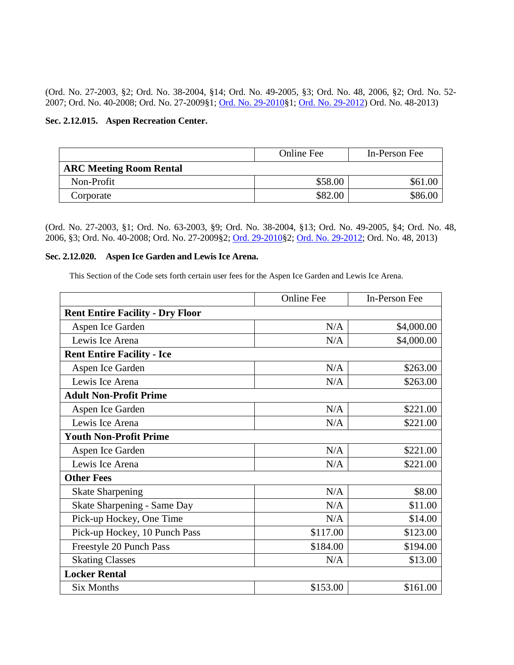(Ord. No. 27-2003, §2; Ord. No. 38-2004, §14; Ord. No. 49-2005, §3; Ord. No. 48, 2006, §2; Ord. No. 52- 2007; Ord. No. 40-2008; Ord. No. 27-2009§1; [Ord. No. 29-2010§](http://205.170.51.183/WebLink8/0/doc/145914/Page1.aspx)1; [Ord. No.](http://205.170.51.183/WebLink8/0/doc/185748/Page1.aspx) 29-2012) Ord. No. 48-2013)

# <span id="page-19-0"></span>**Sec. 2.12.015. Aspen Recreation Center.**

|                                | <b>Online Fee</b> | In-Person Fee |
|--------------------------------|-------------------|---------------|
| <b>ARC Meeting Room Rental</b> |                   |               |
| Non-Profit                     | \$58.00           | \$61.00       |
| Corporate                      | \$82.00           | \$86.00       |

(Ord. No. 27-2003, §1; Ord. No. 63-2003, §9; Ord. No. 38-2004, §13; Ord. No. 49-2005, §4; Ord. No. 48, 2006, §3; Ord. No. 40-2008; Ord. No. 27-2009§2; [Ord. 29-2010§](http://205.170.51.183/WebLink8/0/doc/145914/Page1.aspx)2; [Ord. No. 29-2012;](http://205.170.51.183/WebLink8/0/doc/185748/Page1.aspx) Ord. No. 48, 2013)

# <span id="page-19-1"></span>**Sec. 2.12.020. Aspen Ice Garden and Lewis Ice Arena.**

This Section of the Code sets forth certain user fees for the Aspen Ice Garden and Lewis Ice Arena.

|                                         | <b>Online Fee</b> | In-Person Fee |
|-----------------------------------------|-------------------|---------------|
| <b>Rent Entire Facility - Dry Floor</b> |                   |               |
| Aspen Ice Garden                        | N/A               | \$4,000.00    |
| Lewis Ice Arena                         | N/A               | \$4,000.00    |
| <b>Rent Entire Facility - Ice</b>       |                   |               |
| Aspen Ice Garden                        | N/A               | \$263.00      |
| Lewis Ice Arena                         | N/A               | \$263.00      |
| <b>Adult Non-Profit Prime</b>           |                   |               |
| Aspen Ice Garden                        | N/A               | \$221.00      |
| Lewis Ice Arena                         | N/A               | \$221.00      |
| <b>Youth Non-Profit Prime</b>           |                   |               |
| Aspen Ice Garden                        | N/A               | \$221.00      |
| Lewis Ice Arena                         | N/A               | \$221.00      |
| <b>Other Fees</b>                       |                   |               |
| <b>Skate Sharpening</b>                 | N/A               | \$8.00        |
| <b>Skate Sharpening - Same Day</b>      | N/A               | \$11.00       |
| Pick-up Hockey, One Time                | N/A               | \$14.00       |
| Pick-up Hockey, 10 Punch Pass           | \$117.00          | \$123.00      |
| Freestyle 20 Punch Pass                 | \$184.00          | \$194.00      |
| <b>Skating Classes</b>                  | N/A               | \$13.00       |
| <b>Locker Rental</b>                    |                   |               |
| <b>Six Months</b>                       | \$153.00          | \$161.00      |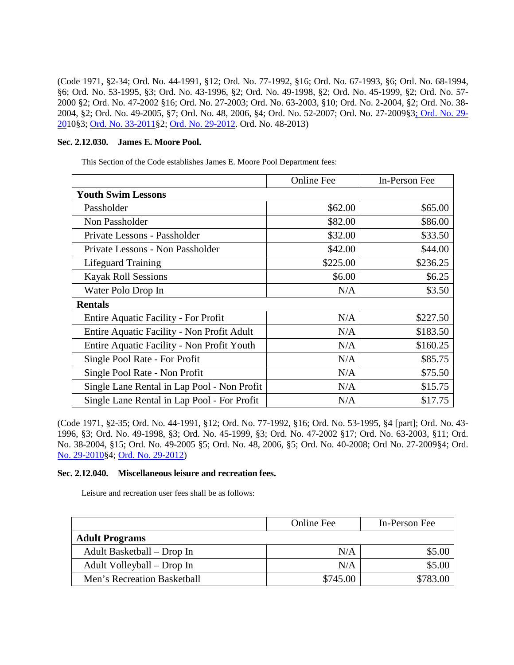(Code 1971, §2-34; Ord. No. 44-1991, §12; Ord. No. 77-1992, §16; Ord. No. 67-1993, §6; Ord. No. 68-1994, §6; Ord. No. 53-1995, §3; Ord. No. 43-1996, §2; Ord. No. 49-1998, §2; Ord. No. 45-1999, §2; Ord. No. 57- 2000 §2; Ord. No. 47-2002 §16; Ord. No. 27-2003; Ord. No. 63-2003, §10; Ord. No. 2-2004, §2; Ord. No. 38- 2004, §2; Ord. No. 49-2005, §7; Ord. No. 48, 2006, §4; Ord. No. 52-2007; Ord. No. 27-2009§[3; Ord. No. 29-](http://205.170.51.183/WebLink8/0/doc/145914/Page1.aspx) [201](http://205.170.51.183/WebLink8/0/doc/145914/Page1.aspx)0§3; [Ord. No. 33-2011§](http://205.170.51.183/WebLink8/0/doc/163539/Page1.aspx)2; [Ord. No. 29-2012.](http://205.170.51.183/WebLink8/0/doc/185748/Page1.aspx) Ord. No. 48-2013)

# <span id="page-20-0"></span>**Sec. 2.12.030. James E. Moore Pool.**

This Section of the Code establishes James E. Moore Pool Department fees:

|                                             | <b>Online Fee</b> | In-Person Fee |
|---------------------------------------------|-------------------|---------------|
| <b>Youth Swim Lessons</b>                   |                   |               |
| Passholder                                  | \$62.00           | \$65.00       |
| Non Passholder                              | \$82.00           | \$86.00       |
| Private Lessons - Passholder                | \$32.00           | \$33.50       |
| Private Lessons - Non Passholder            | \$42.00           | \$44.00       |
| <b>Lifeguard Training</b>                   | \$225.00          | \$236.25      |
| <b>Kayak Roll Sessions</b>                  | \$6.00            | \$6.25        |
| Water Polo Drop In                          | N/A               | \$3.50        |
| <b>Rentals</b>                              |                   |               |
| <b>Entire Aquatic Facility - For Profit</b> | N/A               | \$227.50      |
| Entire Aquatic Facility - Non Profit Adult  | N/A               | \$183.50      |
| Entire Aquatic Facility - Non Profit Youth  | N/A               | \$160.25      |
| Single Pool Rate - For Profit               | N/A               | \$85.75       |
| Single Pool Rate - Non Profit               | N/A               | \$75.50       |
| Single Lane Rental in Lap Pool - Non Profit | N/A               | \$15.75       |
| Single Lane Rental in Lap Pool - For Profit | N/A               | \$17.75       |

(Code 1971, §2-35; Ord. No. 44-1991, §12; Ord. No. 77-1992, §16; Ord. No. 53-1995, §4 [part]; Ord. No. 43- 1996, §3; Ord. No. 49-1998, §3; Ord. No. 45-1999, §3; Ord. No. 47-2002 §17; Ord. No. 63-2003, §11; Ord. No. 38-2004, §15; Ord. No. 49-2005 §5; Ord. No. 48, 2006, §5; Ord. No. 40-2008; Ord No. 27-2009§4; Ord. [No. 29-2010§](http://205.170.51.183/WebLink8/0/doc/145914/Page1.aspx)4; [Ord. No. 29-2012\)](http://205.170.51.183/WebLink8/0/doc/185748/Page1.aspx)

## <span id="page-20-1"></span>**Sec. 2.12.040. Miscellaneous leisure and recreation fees.**

Leisure and recreation user fees shall be as follows:

|                             | Online Fee | In-Person Fee |
|-----------------------------|------------|---------------|
| <b>Adult Programs</b>       |            |               |
| Adult Basketball – Drop In  | N/A        | \$5.00        |
| Adult Volleyball – Drop In  | N/A        | \$5.00        |
| Men's Recreation Basketball | \$745.00   | \$783.00      |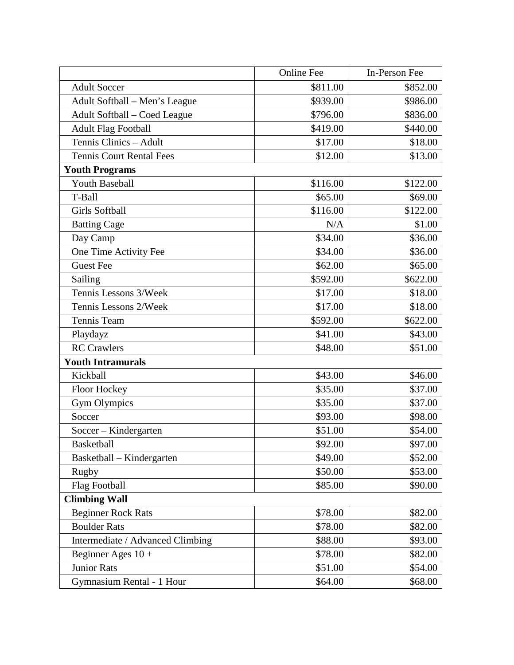|                                  | <b>Online Fee</b> | In-Person Fee |
|----------------------------------|-------------------|---------------|
| <b>Adult Soccer</b>              | \$811.00          | \$852.00      |
| Adult Softball – Men's League    | \$939.00          | \$986.00      |
| Adult Softball – Coed League     | \$796.00          | \$836.00      |
| <b>Adult Flag Football</b>       | \$419.00          | \$440.00      |
| Tennis Clinics - Adult           | \$17.00           | \$18.00       |
| <b>Tennis Court Rental Fees</b>  | \$12.00           | \$13.00       |
| <b>Youth Programs</b>            |                   |               |
| <b>Youth Baseball</b>            | \$116.00          | \$122.00      |
| T-Ball                           | \$65.00           | \$69.00       |
| <b>Girls Softball</b>            | \$116.00          | \$122.00      |
| <b>Batting Cage</b>              | N/A               | \$1.00        |
| Day Camp                         | \$34.00           | \$36.00       |
| One Time Activity Fee            | \$34.00           | \$36.00       |
| <b>Guest Fee</b>                 | \$62.00           | \$65.00       |
| Sailing                          | \$592.00          | \$622.00      |
| Tennis Lessons 3/Week            | \$17.00           | \$18.00       |
| Tennis Lessons 2/Week            | \$17.00           | \$18.00       |
| Tennis Team                      | \$592.00          | \$622.00      |
| Playdayz                         | \$41.00           | \$43.00       |
| <b>RC</b> Crawlers               | \$48.00           | \$51.00       |
| <b>Youth Intramurals</b>         |                   |               |
| Kickball                         | \$43.00           | \$46.00       |
| Floor Hockey                     | \$35.00           | \$37.00       |
| Gym Olympics                     | \$35.00           | \$37.00       |
| Soccer                           | \$93.00           | \$98.00       |
| Soccer - Kindergarten            | \$51.00           | \$54.00       |
| <b>Basketball</b>                | \$92.00           | \$97.00       |
| Basketball – Kindergarten        | \$49.00           | \$52.00       |
| Rugby                            | \$50.00           | \$53.00       |
| <b>Flag Football</b>             | \$85.00           | \$90.00       |
| <b>Climbing Wall</b>             |                   |               |
| Beginner Rock Rats               | \$78.00           | \$82.00       |
| <b>Boulder Rats</b>              | \$78.00           | \$82.00       |
| Intermediate / Advanced Climbing | \$88.00           | \$93.00       |
| Beginner Ages $10 +$             | \$78.00           | \$82.00       |
| <b>Junior Rats</b>               | \$51.00           | \$54.00       |
| Gymnasium Rental - 1 Hour        | \$64.00           | \$68.00       |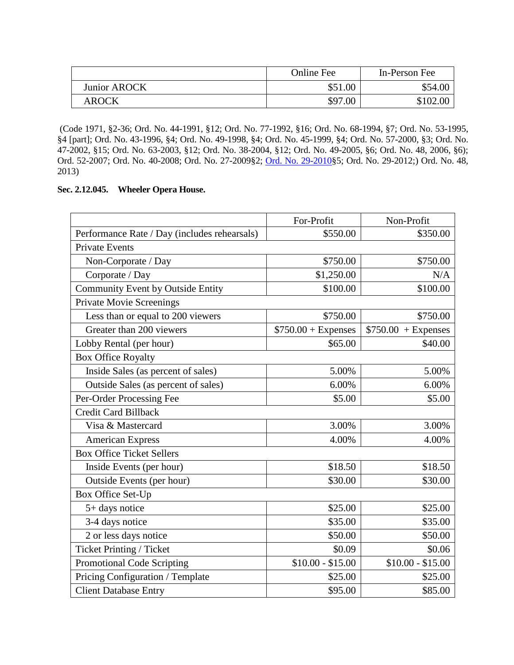|                     | <b>Online Fee</b> | In-Person Fee |
|---------------------|-------------------|---------------|
| <b>Junior AROCK</b> | \$51.00           | \$54.00       |
| <b>AROCK</b>        | \$97.00           | \$102.00      |

(Code 1971, §2-36; Ord. No. 44-1991, §12; Ord. No. 77-1992, §16; Ord. No. 68-1994, §7; Ord. No. 53-1995, §4 [part]; Ord. No. 43-1996, §4; Ord. No. 49-1998, §4; Ord. No. 45-1999, §4; Ord. No. 57-2000, §3; Ord. No. 47-2002, §15; Ord. No. 63-2003, §12; Ord. No. 38-2004, §12; Ord. No. 49-2005, §6; Ord. No. 48, 2006, §6); Ord. 52-2007; Ord. No. 40-2008; Ord. No. 27-2009§2; [Ord. No. 29-2010§](http://205.170.51.183/WebLink8/0/doc/145914/Page1.aspx)5; Ord. No. 29-2012;) Ord. No. 48, 2013)

# <span id="page-22-0"></span>**Sec. 2.12.045. Wheeler Opera House.**

|                                              | For-Profit           | Non-Profit           |
|----------------------------------------------|----------------------|----------------------|
| Performance Rate / Day (includes rehearsals) | \$550.00             | \$350.00             |
| <b>Private Events</b>                        |                      |                      |
| Non-Corporate / Day                          | \$750.00             | \$750.00             |
| Corporate / Day                              | \$1,250.00           | N/A                  |
| Community Event by Outside Entity            | \$100.00             | \$100.00             |
| <b>Private Movie Screenings</b>              |                      |                      |
| Less than or equal to 200 viewers            | \$750.00             | \$750.00             |
| Greater than 200 viewers                     | $$750.00 + Expenses$ | $$750.00 + Expenses$ |
| Lobby Rental (per hour)                      | \$65.00              | \$40.00              |
| <b>Box Office Royalty</b>                    |                      |                      |
| Inside Sales (as percent of sales)           | 5.00%                | 5.00%                |
| Outside Sales (as percent of sales)          | 6.00%                | 6.00%                |
| Per-Order Processing Fee                     | \$5.00               | \$5.00               |
| <b>Credit Card Billback</b>                  |                      |                      |
| Visa & Mastercard                            | 3.00%                | 3.00%                |
| <b>American Express</b>                      | 4.00%                | 4.00%                |
| <b>Box Office Ticket Sellers</b>             |                      |                      |
| Inside Events (per hour)                     | \$18.50              | \$18.50              |
| Outside Events (per hour)                    | \$30.00              | \$30.00              |
| Box Office Set-Up                            |                      |                      |
| 5+ days notice                               | \$25.00              | \$25.00              |
| 3-4 days notice                              | \$35.00              | \$35.00              |
| 2 or less days notice                        | \$50.00              | \$50.00              |
| Ticket Printing / Ticket                     | \$0.09               | \$0.06               |
| <b>Promotional Code Scripting</b>            | $$10.00 - $15.00$    | $$10.00 - $15.00$    |
| Pricing Configuration / Template             | \$25.00              | \$25.00              |
| <b>Client Database Entry</b>                 | \$95.00              | \$85.00              |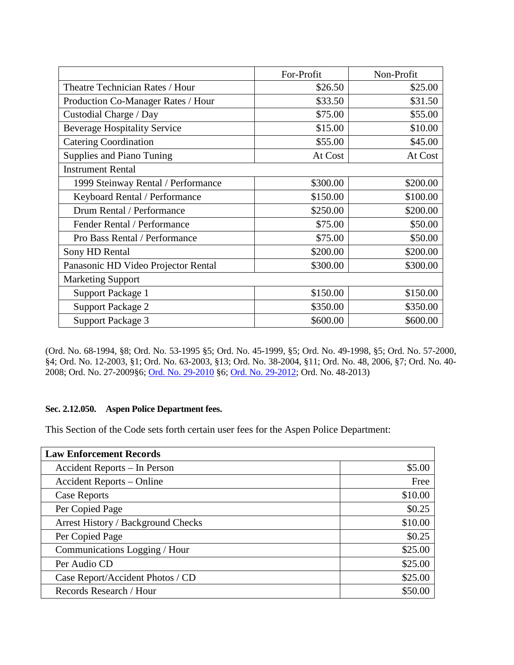|                                     | For-Profit | Non-Profit |
|-------------------------------------|------------|------------|
| Theatre Technician Rates / Hour     | \$26.50    | \$25.00    |
| Production Co-Manager Rates / Hour  | \$33.50    | \$31.50    |
| Custodial Charge / Day              | \$75.00    | \$55.00    |
| <b>Beverage Hospitality Service</b> | \$15.00    | \$10.00    |
| <b>Catering Coordination</b>        | \$55.00    | \$45.00    |
| Supplies and Piano Tuning           | At Cost    | At Cost    |
| <b>Instrument Rental</b>            |            |            |
| 1999 Steinway Rental / Performance  | \$300.00   | \$200.00   |
| Keyboard Rental / Performance       | \$150.00   | \$100.00   |
| Drum Rental / Performance           | \$250.00   | \$200.00   |
| Fender Rental / Performance         | \$75.00    | \$50.00    |
| Pro Bass Rental / Performance       | \$75.00    | \$50.00    |
| Sony HD Rental                      | \$200.00   | \$200.00   |
| Panasonic HD Video Projector Rental | \$300.00   | \$300.00   |
| <b>Marketing Support</b>            |            |            |
| Support Package 1                   | \$150.00   | \$150.00   |
| <b>Support Package 2</b>            | \$350.00   | \$350.00   |
| <b>Support Package 3</b>            | \$600.00   | \$600.00   |

(Ord. No. 68-1994, §8; Ord. No. 53-1995 §5; Ord. No. 45-1999, §5; Ord. No. 49-1998, §5; Ord. No. 57-2000, §4; Ord. No. 12-2003, §1; Ord. No. 63-2003, §13; Ord. No. 38-2004, §11; Ord. No. 48, 2006, §7; Ord. No. 40- 2008; Ord. No. 27-2009§6; [Ord. No. 29-2010](http://205.170.51.183/WebLink8/0/doc/145914/Page1.aspx) §6; [Ord. No. 29-2012;](http://205.170.51.183/WebLink8/0/doc/185748/Page1.aspx) Ord. No. 48-2013)

# <span id="page-23-0"></span>**Sec. 2.12.050. Aspen Police Department fees.**

This Section of the Code sets forth certain user fees for the Aspen Police Department:

| <b>Law Enforcement Records</b>     |         |
|------------------------------------|---------|
| Accident Reports - In Person       | \$5.00  |
| <b>Accident Reports – Online</b>   | Free    |
| Case Reports                       | \$10.00 |
| Per Copied Page                    | \$0.25  |
| Arrest History / Background Checks | \$10.00 |
| Per Copied Page                    | \$0.25  |
| Communications Logging / Hour      | \$25.00 |
| Per Audio CD                       | \$25.00 |
| Case Report/Accident Photos / CD   | \$25.00 |
| Records Research / Hour            | \$50.00 |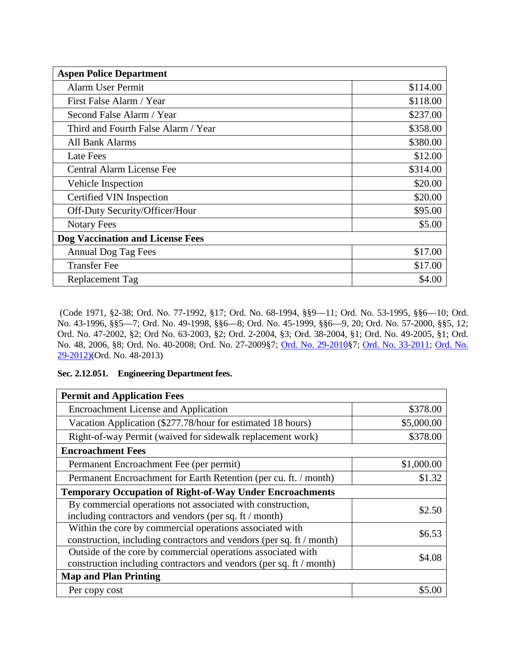| <b>Aspen Police Department</b>          |          |
|-----------------------------------------|----------|
| <b>Alarm User Permit</b>                | \$114.00 |
| First False Alarm / Year                | \$118.00 |
| Second False Alarm / Year               | \$237.00 |
| Third and Fourth False Alarm / Year     | \$358.00 |
| All Bank Alarms                         | \$380.00 |
| Late Fees                               | \$12.00  |
| Central Alarm License Fee               | \$314.00 |
| Vehicle Inspection                      | \$20.00  |
| Certified VIN Inspection                | \$20.00  |
| Off-Duty Security/Officer/Hour          | \$95.00  |
| <b>Notary Fees</b>                      | \$5.00   |
| <b>Dog Vaccination and License Fees</b> |          |
| Annual Dog Tag Fees                     | \$17.00  |
| <b>Transfer Fee</b>                     | \$17.00  |
| Replacement Tag                         | \$4.00   |

(Code 1971, §2-38; Ord. No. 77-1992, §17; Ord. No. 68-1994, §§9—11; Ord. No. 53-1995, §§6—10; Ord. No. 43-1996, §§5—7; Ord. No. 49-1998, §§6—8; Ord. No. 45-1999, §§6—9, 20; Ord. No. 57-2000, §§5, 12; Ord. No. 47-2002, §2; Ord No. 63-2003, §2; Ord. 2-2004, §3; Ord. 38-2004, §1; Ord. No. 49-2005, §1; Ord. No. 48, 2006, §8; Ord. No. 40-2008; Ord. No. 27-2009§7; [Ord. No. 29-2010§](http://205.170.51.183/WebLink8/0/doc/145914/Page1.aspx)7; [Ord. No. 33-2011;](http://205.170.51.183/WebLink8/0/doc/163539/Page1.aspx) [Ord. No.](http://205.170.51.183/WebLink8/0/doc/185748/Page1.aspx)  [29-2012\)\(](http://205.170.51.183/WebLink8/0/doc/185748/Page1.aspx)Ord. No. 48-2013)

# <span id="page-24-0"></span>**Sec. 2.12.051. Engineering Department fees.**

| <b>Permit and Application Fees</b>                                   |            |  |
|----------------------------------------------------------------------|------------|--|
| <b>Encroachment License and Application</b>                          | \$378.00   |  |
| Vacation Application (\$277.78/hour for estimated 18 hours)          | \$5,000.00 |  |
| Right-of-way Permit (waived for sidewalk replacement work)           | \$378.00   |  |
| <b>Encroachment Fees</b>                                             |            |  |
| Permanent Encroachment Fee (per permit)                              | \$1,000.00 |  |
| Permanent Encroachment for Earth Retention (per cu. ft. / month)     | \$1.32     |  |
| <b>Temporary Occupation of Right-of-Way Under Encroachments</b>      |            |  |
| By commercial operations not associated with construction,           | \$2.50     |  |
| including contractors and vendors (per sq. ft / month)               |            |  |
| Within the core by commercial operations associated with             | \$6.53     |  |
| construction, including contractors and vendors (per sq. ft / month) |            |  |
| Outside of the core by commercial operations associated with         | \$4.08     |  |
| construction including contractors and vendors (per sq. ft / month)  |            |  |
| <b>Map and Plan Printing</b>                                         |            |  |
| Per copy cost                                                        |            |  |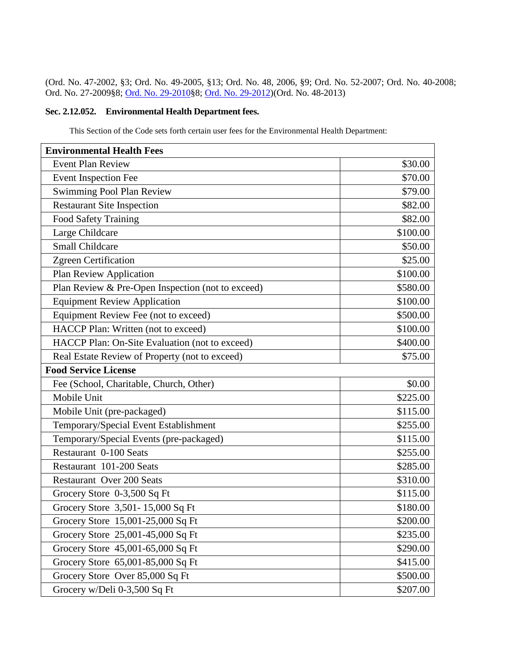(Ord. No. 47-2002, §3; Ord. No. 49-2005, §13; Ord. No. 48, 2006, §9; Ord. No. 52-2007; Ord. No. 40-2008; Ord. No. 27-2009§8; [Ord. No. 29-2010§](http://205.170.51.183/WebLink8/0/doc/145914/Page1.aspx)8; [Ord. No. 29-2012\)](http://205.170.51.183/WebLink8/0/doc/185748/Page1.aspx)(Ord. No. 48-2013)

# <span id="page-25-0"></span>**Sec. 2.12.052. Environmental Health Department fees.**

This Section of the Code sets forth certain user fees for the Environmental Health Department:

| <b>Environmental Health Fees</b>                  |          |
|---------------------------------------------------|----------|
| <b>Event Plan Review</b>                          | \$30.00  |
| <b>Event Inspection Fee</b>                       | \$70.00  |
| <b>Swimming Pool Plan Review</b>                  | \$79.00  |
| <b>Restaurant Site Inspection</b>                 | \$82.00  |
| <b>Food Safety Training</b>                       | \$82.00  |
| Large Childcare                                   | \$100.00 |
| <b>Small Childcare</b>                            | \$50.00  |
| Zgreen Certification                              | \$25.00  |
| <b>Plan Review Application</b>                    | \$100.00 |
| Plan Review & Pre-Open Inspection (not to exceed) | \$580.00 |
| <b>Equipment Review Application</b>               | \$100.00 |
| Equipment Review Fee (not to exceed)              | \$500.00 |
| HACCP Plan: Written (not to exceed)               | \$100.00 |
| HACCP Plan: On-Site Evaluation (not to exceed)    | \$400.00 |
| Real Estate Review of Property (not to exceed)    | \$75.00  |
| <b>Food Service License</b>                       |          |
| Fee (School, Charitable, Church, Other)           | \$0.00   |
| Mobile Unit                                       | \$225.00 |
| Mobile Unit (pre-packaged)                        | \$115.00 |
| Temporary/Special Event Establishment             | \$255.00 |
| Temporary/Special Events (pre-packaged)           | \$115.00 |
| Restaurant 0-100 Seats                            | \$255.00 |
| Restaurant 101-200 Seats                          | \$285.00 |
| <b>Restaurant Over 200 Seats</b>                  | \$310.00 |
| Grocery Store 0-3,500 Sq Ft                       | \$115.00 |
| Grocery Store 3,501-15,000 Sq Ft                  | \$180.00 |
| Grocery Store 15,001-25,000 Sq Ft                 | \$200.00 |
| Grocery Store 25,001-45,000 Sq Ft                 | \$235.00 |
| Grocery Store 45,001-65,000 Sq Ft                 | \$290.00 |
| Grocery Store 65,001-85,000 Sq Ft                 | \$415.00 |
| Grocery Store Over 85,000 Sq Ft                   | \$500.00 |
| Grocery w/Deli 0-3,500 Sq Ft                      | \$207.00 |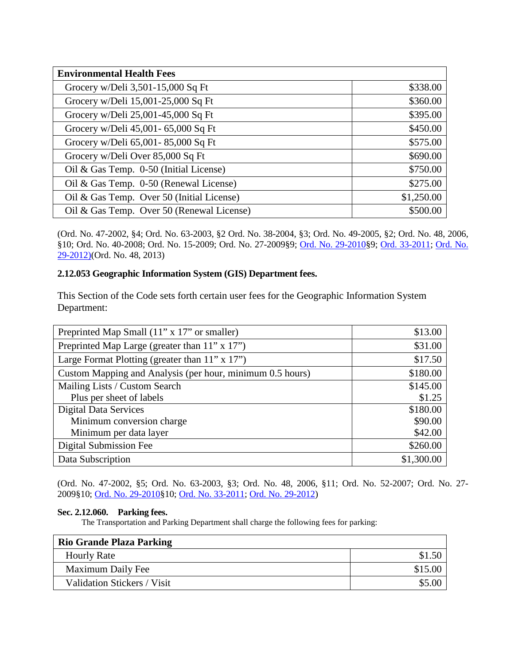| <b>Environmental Health Fees</b>          |            |
|-------------------------------------------|------------|
| Grocery w/Deli 3,501-15,000 Sq Ft         | \$338.00   |
| Grocery w/Deli 15,001-25,000 Sq Ft        | \$360.00   |
| Grocery w/Deli 25,001-45,000 Sq Ft        | \$395.00   |
| Grocery w/Deli 45,001- 65,000 Sq Ft       | \$450.00   |
| Grocery w/Deli 65,001-85,000 Sq Ft        | \$575.00   |
| Grocery w/Deli Over 85,000 Sq Ft          | \$690.00   |
| Oil & Gas Temp. 0-50 (Initial License)    | \$750.00   |
| Oil & Gas Temp. 0-50 (Renewal License)    | \$275.00   |
| Oil & Gas Temp. Over 50 (Initial License) | \$1,250.00 |
| Oil & Gas Temp. Over 50 (Renewal License) | \$500.00   |

(Ord. No. 47-2002, §4; Ord. No. 63-2003, §2 Ord. No. 38-2004, §3; Ord. No. 49-2005, §2; Ord. No. 48, 2006, §10; Ord. No. 40-2008; Ord. No. 15-2009; Ord. No. 27-2009§9; [Ord. No. 29-2010§](http://205.170.51.183/WebLink8/0/doc/145914/Page1.aspx)9; [Ord. 33-2011;](http://205.170.51.183/WebLink8/0/doc/163539/Page1.aspx) [Ord. No.](http://205.170.51.183/WebLink8/0/doc/185748/Page1.aspx)  [29-2012\)\(](http://205.170.51.183/WebLink8/0/doc/185748/Page1.aspx)Ord. No. 48, 2013)

# <span id="page-26-0"></span>**2.12.053 Geographic Information System (GIS) Department fees.**

This Section of the Code sets forth certain user fees for the Geographic Information System Department:

| Preprinted Map Small (11" x 17" or smaller)               | \$13.00    |
|-----------------------------------------------------------|------------|
| Preprinted Map Large (greater than 11" x 17")             | \$31.00    |
| Large Format Plotting (greater than $11$ " x $17$ ")      | \$17.50    |
| Custom Mapping and Analysis (per hour, minimum 0.5 hours) | \$180.00   |
| Mailing Lists / Custom Search                             | \$145.00   |
| Plus per sheet of labels                                  | \$1.25     |
| <b>Digital Data Services</b>                              | \$180.00   |
| Minimum conversion charge                                 | \$90.00    |
| Minimum per data layer                                    | \$42.00    |
| Digital Submission Fee                                    | \$260.00   |
| Data Subscription                                         | \$1,300.00 |

(Ord. No. 47-2002, §5; Ord. No. 63-2003, §3; Ord. No. 48, 2006, §11; Ord. No. 52-2007; Ord. No. 27- 2009§10; [Ord. No. 29-2010§](http://205.170.51.183/WebLink8/0/doc/145914/Page1.aspx)10; [Ord. No. 33-2011;](http://205.170.51.183/WebLink8/0/doc/163539/Page1.aspx) [Ord. No. 29-2012\)](http://205.170.51.183/WebLink8/0/doc/185748/Page1.aspx)

# <span id="page-26-1"></span>**Sec. 2.12.060. Parking fees.**

The Transportation and Parking Department shall charge the following fees for parking:

| <b>Rio Grande Plaza Parking</b> |         |
|---------------------------------|---------|
| <b>Hourly Rate</b>              | \$1.50  |
| Maximum Daily Fee               | \$15.00 |
| Validation Stickers / Visit     | \$5.00  |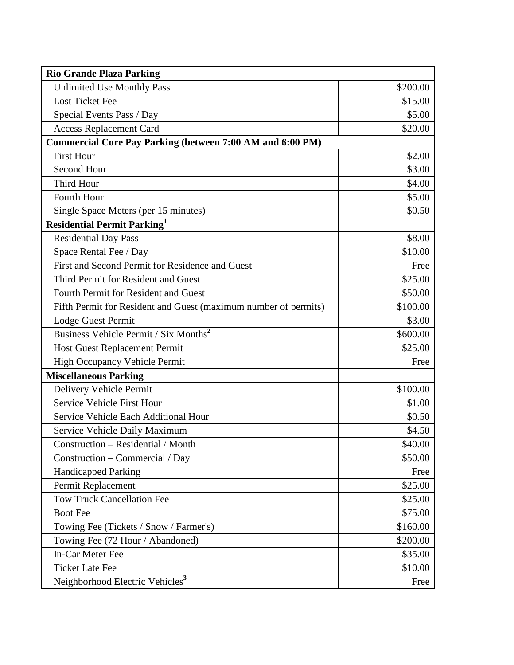| <b>Rio Grande Plaza Parking</b>                                  |          |
|------------------------------------------------------------------|----------|
| <b>Unlimited Use Monthly Pass</b>                                | \$200.00 |
| <b>Lost Ticket Fee</b>                                           | \$15.00  |
| Special Events Pass / Day                                        | \$5.00   |
| <b>Access Replacement Card</b>                                   | \$20.00  |
| <b>Commercial Core Pay Parking (between 7:00 AM and 6:00 PM)</b> |          |
| <b>First Hour</b>                                                | \$2.00   |
| Second Hour                                                      | \$3.00   |
| Third Hour                                                       | \$4.00   |
| Fourth Hour                                                      | \$5.00   |
| Single Space Meters (per 15 minutes)                             | \$0.50   |
| <b>Residential Permit Parking</b>                                |          |
| <b>Residential Day Pass</b>                                      | \$8.00   |
| Space Rental Fee / Day                                           | \$10.00  |
| First and Second Permit for Residence and Guest                  | Free     |
| Third Permit for Resident and Guest                              | \$25.00  |
| Fourth Permit for Resident and Guest                             | \$50.00  |
| Fifth Permit for Resident and Guest (maximum number of permits)  | \$100.00 |
| Lodge Guest Permit                                               | \$3.00   |
| Business Vehicle Permit / Six Months <sup>2</sup>                | \$600.00 |
| Host Guest Replacement Permit                                    | \$25.00  |
| High Occupancy Vehicle Permit                                    | Free     |
| <b>Miscellaneous Parking</b>                                     |          |
| Delivery Vehicle Permit                                          | \$100.00 |
| Service Vehicle First Hour                                       | \$1.00   |
| Service Vehicle Each Additional Hour                             | \$0.50   |
| Service Vehicle Daily Maximum                                    | \$4.50   |
| Construction – Residential / Month                               | \$40.00  |
| Construction – Commercial / Day                                  | \$50.00  |
| <b>Handicapped Parking</b>                                       | Free     |
| Permit Replacement                                               | \$25.00  |
| <b>Tow Truck Cancellation Fee</b>                                | \$25.00  |
| <b>Boot Fee</b>                                                  | \$75.00  |
| Towing Fee (Tickets / Snow / Farmer's)                           | \$160.00 |
| Towing Fee (72 Hour / Abandoned)                                 | \$200.00 |
| In-Car Meter Fee                                                 | \$35.00  |
| <b>Ticket Late Fee</b>                                           | \$10.00  |
| Neighborhood Electric Vehicles <sup>3</sup>                      | Free     |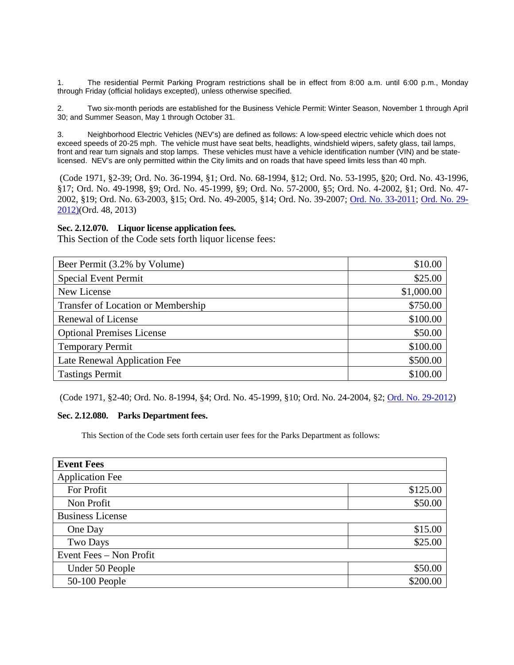1. The residential Permit Parking Program restrictions shall be in effect from 8:00 a.m. until 6:00 p.m., Monday through Friday (official holidays excepted), unless otherwise specified.

2. Two six-month periods are established for the Business Vehicle Permit: Winter Season, November 1 through April 30; and Summer Season, May 1 through October 31.

3. Neighborhood Electric Vehicles (NEV's) are defined as follows: A low-speed electric vehicle which does not exceed speeds of 20-25 mph. The vehicle must have seat belts, headlights, windshield wipers, safety glass, tail lamps, front and rear turn signals and stop lamps. These vehicles must have a vehicle identification number (VIN) and be statelicensed. NEV's are only permitted within the City limits and on roads that have speed limits less than 40 mph.

(Code 1971, §2-39; Ord. No. 36-1994, §1; Ord. No. 68-1994, §12; Ord. No. 53-1995, §20; Ord. No. 43-1996, §17; Ord. No. 49-1998, §9; Ord. No. 45-1999, §9; Ord. No. 57-2000, §5; Ord. No. 4-2002, §1; Ord. No. 47- 2002, §19; Ord. No. 63-2003, §15; Ord. No. 49-2005, §14; Ord. No. 39-2007; [Ord. No. 33-2011;](http://205.170.51.183/WebLink8/0/doc/163539/Page1.aspx) [Ord. No. 29-](http://205.170.51.183/WebLink8/0/doc/185748/Page1.aspx) [2012\)\(](http://205.170.51.183/WebLink8/0/doc/185748/Page1.aspx)Ord. 48, 2013)

# <span id="page-28-0"></span>**Sec. 2.12.070. Liquor license application fees.**

This Section of the Code sets forth liquor license fees:

| Beer Permit (3.2% by Volume)       | \$10.00    |
|------------------------------------|------------|
| <b>Special Event Permit</b>        | \$25.00    |
| New License                        | \$1,000.00 |
| Transfer of Location or Membership | \$750.00   |
| Renewal of License                 | \$100.00   |
| <b>Optional Premises License</b>   | \$50.00    |
| <b>Temporary Permit</b>            | \$100.00   |
| Late Renewal Application Fee       | \$500.00   |
| <b>Tastings Permit</b>             | \$100.00   |

(Code 1971, §2-40; Ord. No. 8-1994, §4; Ord. No. 45-1999, §10; Ord. No. 24-2004, §2; [Ord. No. 29-2012\)](http://205.170.51.183/WebLink8/0/doc/185748/Page1.aspx)

# <span id="page-28-1"></span>**Sec. 2.12.080. Parks Department fees.**

This Section of the Code sets forth certain user fees for the Parks Department as follows:

| <b>Event Fees</b>       |          |
|-------------------------|----------|
| <b>Application Fee</b>  |          |
| For Profit              | \$125.00 |
| Non Profit              | \$50.00  |
| <b>Business License</b> |          |
| One Day                 | \$15.00  |
| <b>Two Days</b>         | \$25.00  |
| Event Fees - Non Profit |          |
| Under 50 People         | \$50.00  |
| 50-100 People           | \$200.00 |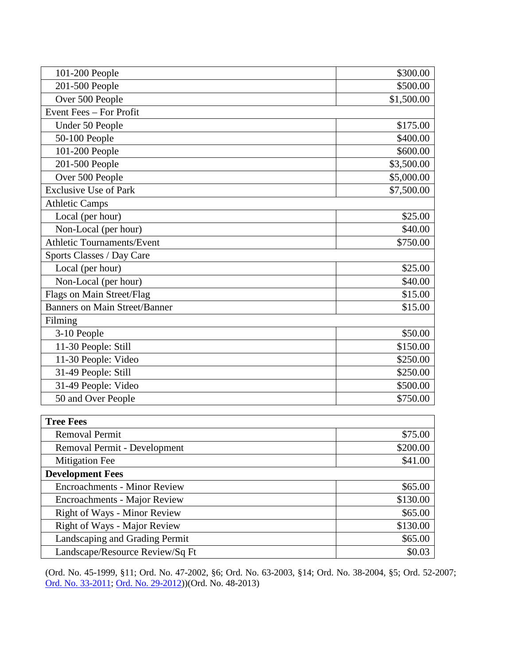| 101-200 People                      | \$300.00   |
|-------------------------------------|------------|
| 201-500 People                      | \$500.00   |
| Over 500 People                     | \$1,500.00 |
| Event Fees - For Profit             |            |
| Under 50 People                     | \$175.00   |
| 50-100 People                       | \$400.00   |
| 101-200 People                      | \$600.00   |
| 201-500 People                      | \$3,500.00 |
| Over 500 People                     | \$5,000.00 |
| <b>Exclusive Use of Park</b>        | \$7,500.00 |
| <b>Athletic Camps</b>               |            |
| Local (per hour)                    | \$25.00    |
| Non-Local (per hour)                | \$40.00    |
| <b>Athletic Tournaments/Event</b>   | \$750.00   |
| Sports Classes / Day Care           |            |
| Local (per hour)                    | \$25.00    |
| Non-Local (per hour)                | \$40.00    |
| Flags on Main Street/Flag           | \$15.00    |
| Banners on Main Street/Banner       | \$15.00    |
| Filming                             |            |
| 3-10 People                         | \$50.00    |
| 11-30 People: Still                 | \$150.00   |
| 11-30 People: Video                 | \$250.00   |
| 31-49 People: Still                 | \$250.00   |
| 31-49 People: Video                 | \$500.00   |
| 50 and Over People                  | \$750.00   |
| <b>Tree Fees</b>                    |            |
| <b>Removal Permit</b>               | \$75.00    |
| Removal Permit - Development        | \$200.00   |
| Mitigation Fee                      | \$41.00    |
| <b>Development Fees</b>             |            |
| <b>Encroachments - Minor Review</b> | \$65.00    |
| Encroachments - Major Review        | \$130.00   |
| <b>Right of Ways - Minor Review</b> | \$65.00    |
| Right of Ways - Major Review        | \$130.00   |
| Landscaping and Grading Permit      | \$65.00    |
| Landscape/Resource Review/Sq Ft     | \$0.03     |

(Ord. No. 45-1999, §11; Ord. No. 47-2002, §6; Ord. No. 63-2003, §14; Ord. No. 38-2004, §5; Ord. 52-2007; [Ord. No. 33-2011;](http://205.170.51.183/WebLink8/0/doc/163539/Page1.aspx) [Ord. No. 29-2012\)](http://205.170.51.183/WebLink8/0/doc/185748/Page1.aspx))(Ord. No. 48-2013)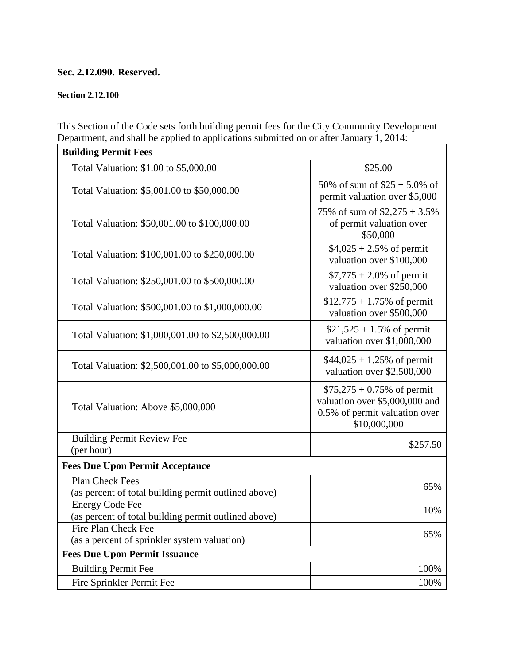# **Sec. 2.12.090. Reserved.**

# <span id="page-30-0"></span>**Section 2.12.100**

This Section of the Code sets forth building permit fees for the City Community Development Department, and shall be applied to applications submitted on or after January 1, 2014:

| <b>Building Permit Fees</b>                                                    |                                                                                                                 |
|--------------------------------------------------------------------------------|-----------------------------------------------------------------------------------------------------------------|
| Total Valuation: \$1.00 to \$5,000.00                                          | \$25.00                                                                                                         |
| Total Valuation: \$5,001.00 to \$50,000.00                                     | 50% of sum of $$25 + 5.0\%$ of<br>permit valuation over \$5,000                                                 |
| Total Valuation: \$50,001.00 to \$100,000.00                                   | 75% of sum of $$2,275 + 3.5\%$<br>of permit valuation over<br>\$50,000                                          |
| Total Valuation: \$100,001.00 to \$250,000.00                                  | $$4,025 + 2.5\%$ of permit<br>valuation over \$100,000                                                          |
| Total Valuation: \$250,001.00 to \$500,000.00                                  | $$7,775 + 2.0\%$ of permit<br>valuation over \$250,000                                                          |
| Total Valuation: \$500,001.00 to \$1,000,000.00                                | $$12.775 + 1.75\%$ of permit<br>valuation over \$500,000                                                        |
| Total Valuation: \$1,000,001.00 to \$2,500,000.00                              | $$21,525 + 1.5\%$ of permit<br>valuation over \$1,000,000                                                       |
| Total Valuation: \$2,500,001.00 to \$5,000,000.00                              | $$44,025 + 1.25\%$ of permit<br>valuation over \$2,500,000                                                      |
| Total Valuation: Above \$5,000,000                                             | $$75,275 + 0.75\%$ of permit<br>valuation over \$5,000,000 and<br>0.5% of permit valuation over<br>\$10,000,000 |
| <b>Building Permit Review Fee</b>                                              | \$257.50                                                                                                        |
| (per hour)                                                                     |                                                                                                                 |
| <b>Fees Due Upon Permit Acceptance</b>                                         |                                                                                                                 |
| Plan Check Fees<br>(as percent of total building permit outlined above)        | 65%                                                                                                             |
| <b>Energy Code Fee</b><br>(as percent of total building permit outlined above) | 10%                                                                                                             |
| Fire Plan Check Fee                                                            | 65%                                                                                                             |
| (as a percent of sprinkler system valuation)                                   |                                                                                                                 |
| <b>Fees Due Upon Permit Issuance</b>                                           |                                                                                                                 |
| <b>Building Permit Fee</b>                                                     | 100%                                                                                                            |
| Fire Sprinkler Permit Fee                                                      | 100%                                                                                                            |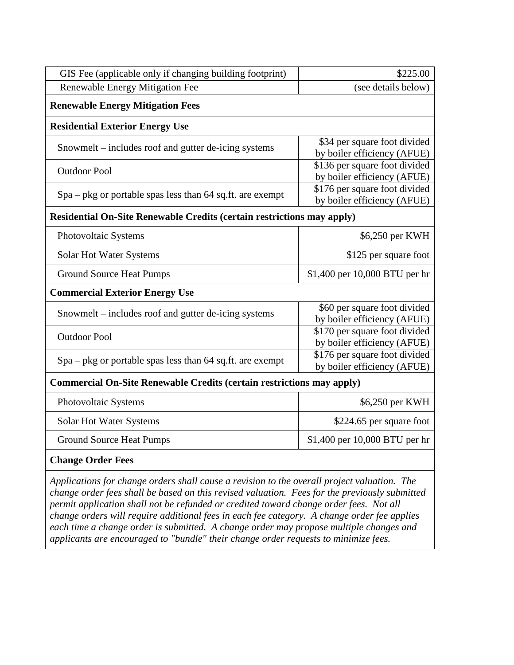| GIS Fee (applicable only if changing building footprint)                      | \$225.00                                                     |
|-------------------------------------------------------------------------------|--------------------------------------------------------------|
| Renewable Energy Mitigation Fee                                               | (see details below)                                          |
| <b>Renewable Energy Mitigation Fees</b>                                       |                                                              |
| <b>Residential Exterior Energy Use</b>                                        |                                                              |
| Snowmelt – includes roof and gutter de-icing systems                          | \$34 per square foot divided<br>by boiler efficiency (AFUE)  |
| <b>Outdoor Pool</b>                                                           | \$136 per square foot divided<br>by boiler efficiency (AFUE) |
| Spa - pkg or portable spas less than 64 sq.ft. are exempt                     | \$176 per square foot divided<br>by boiler efficiency (AFUE) |
| <b>Residential On-Site Renewable Credits (certain restrictions may apply)</b> |                                                              |
| Photovoltaic Systems                                                          | \$6,250 per KWH                                              |
| Solar Hot Water Systems                                                       | \$125 per square foot                                        |
| <b>Ground Source Heat Pumps</b>                                               | \$1,400 per 10,000 BTU per hr                                |
| <b>Commercial Exterior Energy Use</b>                                         |                                                              |
| Snowmelt – includes roof and gutter de-icing systems                          | \$60 per square foot divided<br>by boiler efficiency (AFUE)  |
| <b>Outdoor Pool</b>                                                           | \$170 per square foot divided<br>by boiler efficiency (AFUE) |
| $Spa - pkg$ or portable spas less than 64 sq.ft. are exempt                   | \$176 per square foot divided<br>by boiler efficiency (AFUE) |
| <b>Commercial On-Site Renewable Credits (certain restrictions may apply)</b>  |                                                              |
| Photovoltaic Systems                                                          | \$6,250 per KWH                                              |
| Solar Hot Water Systems                                                       | \$224.65 per square foot                                     |
| <b>Ground Source Heat Pumps</b>                                               | \$1,400 per 10,000 BTU per hr                                |

# **Change Order Fees**

*Applications for change orders shall cause a revision to the overall project valuation. The change order fees shall be based on this revised valuation. Fees for the previously submitted permit application shall not be refunded or credited toward change order fees. Not all change orders will require additional fees in each fee category. A change order fee applies each time a change order is submitted. A change order may propose multiple changes and applicants are encouraged to "bundle" their change order requests to minimize fees.*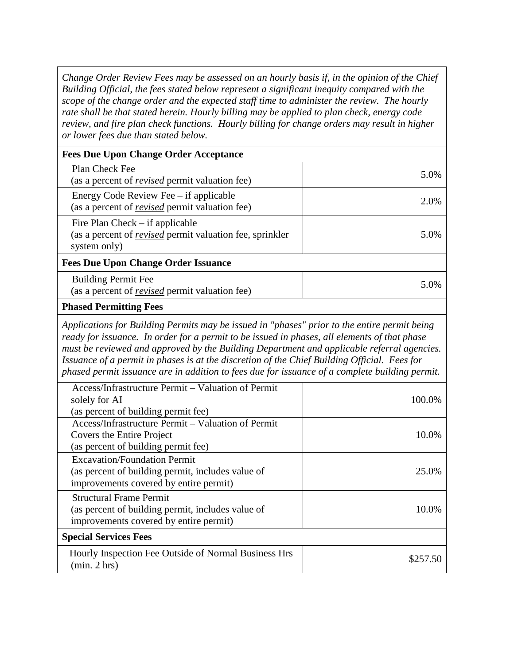*Change Order Review Fees may be assessed on an hourly basis if, in the opinion of the Chief Building Official, the fees stated below represent a significant inequity compared with the scope of the change order and the expected staff time to administer the review. The hourly rate shall be that stated herein. Hourly billing may be applied to plan check, energy code review, and fire plan check functions. Hourly billing for change orders may result in higher or lower fees due than stated below.* 

| <b>Fees Due Upon Change Order Acceptance</b>                                                                                                                                                                                                                                                                                                                                                                                                       |          |
|----------------------------------------------------------------------------------------------------------------------------------------------------------------------------------------------------------------------------------------------------------------------------------------------------------------------------------------------------------------------------------------------------------------------------------------------------|----------|
| Plan Check Fee<br>(as a percent of <i>revised</i> permit valuation fee)                                                                                                                                                                                                                                                                                                                                                                            | 5.0%     |
| Energy Code Review Fee – if applicable<br>(as a percent of <i>revised</i> permit valuation fee)                                                                                                                                                                                                                                                                                                                                                    | 2.0%     |
| Fire Plan Check $-$ if applicable<br>(as a percent of <i>revised</i> permit valuation fee, sprinkler<br>system only)                                                                                                                                                                                                                                                                                                                               | 5.0%     |
| <b>Fees Due Upon Change Order Issuance</b>                                                                                                                                                                                                                                                                                                                                                                                                         |          |
| <b>Building Permit Fee</b><br>(as a percent of <i>revised</i> permit valuation fee)                                                                                                                                                                                                                                                                                                                                                                | 5.0%     |
| <b>Phased Permitting Fees</b>                                                                                                                                                                                                                                                                                                                                                                                                                      |          |
| ready for issuance. In order for a permit to be issued in phases, all elements of that phase<br>must be reviewed and approved by the Building Department and applicable referral agencies.<br>Issuance of a permit in phases is at the discretion of the Chief Building Official. Fees for<br>phased permit issuance are in addition to fees due for issuance of a complete building permit.<br>Access/Infrastructure Permit - Valuation of Permit |          |
| solely for AI<br>(as percent of building permit fee)                                                                                                                                                                                                                                                                                                                                                                                               | 100.0%   |
| Access/Infrastructure Permit - Valuation of Permit<br>Covers the Entire Project<br>(as percent of building permit fee)                                                                                                                                                                                                                                                                                                                             | 10.0%    |
| <b>Excavation/Foundation Permit</b><br>(as percent of building permit, includes value of<br>improvements covered by entire permit)                                                                                                                                                                                                                                                                                                                 | 25.0%    |
| <b>Structural Frame Permit</b><br>(as percent of building permit, includes value of<br>improvements covered by entire permit)                                                                                                                                                                                                                                                                                                                      | 10.0%    |
| <b>Special Services Fees</b>                                                                                                                                                                                                                                                                                                                                                                                                                       |          |
| Hourly Inspection Fee Outside of Normal Business Hrs<br>(min. 2 hrs)                                                                                                                                                                                                                                                                                                                                                                               | \$257.50 |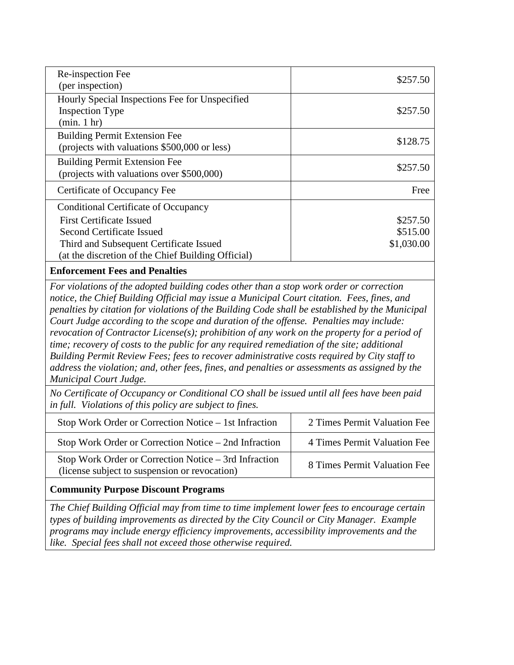| Re-inspection Fee<br>(per inspection)                                                                                                                                                                                                                                                    | \$257.50                           |
|------------------------------------------------------------------------------------------------------------------------------------------------------------------------------------------------------------------------------------------------------------------------------------------|------------------------------------|
| Hourly Special Inspections Fee for Unspecified<br><b>Inspection Type</b><br>(min. 1 hr)                                                                                                                                                                                                  | \$257.50                           |
| <b>Building Permit Extension Fee</b><br>(projects with valuations \$500,000 or less)                                                                                                                                                                                                     | \$128.75                           |
| <b>Building Permit Extension Fee</b><br>(projects with valuations over \$500,000)                                                                                                                                                                                                        | \$257.50                           |
| Certificate of Occupancy Fee                                                                                                                                                                                                                                                             | Free                               |
| Conditional Certificate of Occupancy<br><b>First Certificate Issued</b><br><b>Second Certificate Issued</b><br>Third and Subsequent Certificate Issued<br>(at the discretion of the Chief Building Official)                                                                             | \$257.50<br>\$515.00<br>\$1,030.00 |
| <b>Enforcement Fees and Penalties</b>                                                                                                                                                                                                                                                    |                                    |
| For violations of the adopted building codes other than a stop work order or correction<br>notice, the Chief Building Official may issue a Municipal Court citation. Fees, fines, and<br>penalties by citation for violations of the Building Code shall be established by the Municipal |                                    |

*penalties by citation for violations of the Building Code shall be established by the Municipal Court Judge according to the scope and duration of the offense. Penalties may include: revocation of Contractor License(s); prohibition of any work on the property for a period of time; recovery of costs to the public for any required remediation of the site; additional Building Permit Review Fees; fees to recover administrative costs required by City staff to address the violation; and, other fees, fines, and penalties or assessments as assigned by the Municipal Court Judge.* 

*No Certificate of Occupancy or Conditional CO shall be issued until all fees have been paid in full. Violations of this policy are subject to fines.*

| Stop Work Order or Correction Notice – 1st Infraction                                                  | 2 Times Permit Valuation Fee |
|--------------------------------------------------------------------------------------------------------|------------------------------|
| Stop Work Order or Correction Notice $-$ 2nd Infraction                                                | 4 Times Permit Valuation Fee |
| Stop Work Order or Correction Notice – 3rd Infraction<br>(license subject to suspension or revocation) | 8 Times Permit Valuation Fee |

# **Community Purpose Discount Programs**

*The Chief Building Official may from time to time implement lower fees to encourage certain types of building improvements as directed by the City Council or City Manager. Example programs may include energy efficiency improvements, accessibility improvements and the like. Special fees shall not exceed those otherwise required.*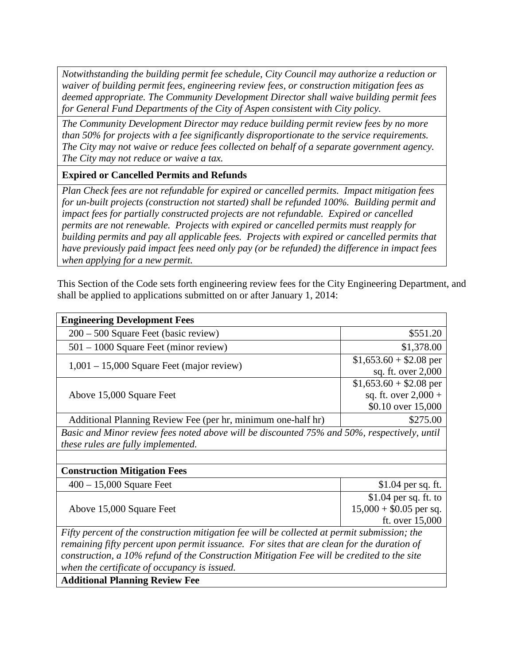*Notwithstanding the building permit fee schedule, City Council may authorize a reduction or waiver of building permit fees, engineering review fees, or construction mitigation fees as deemed appropriate. The Community Development Director shall waive building permit fees for General Fund Departments of the City of Aspen consistent with City policy.* 

*The Community Development Director may reduce building permit review fees by no more than 50% for projects with a fee significantly disproportionate to the service requirements. The City may not waive or reduce fees collected on behalf of a separate government agency. The City may not reduce or waive a tax.* 

**Expired or Cancelled Permits and Refunds**

*Plan Check fees are not refundable for expired or cancelled permits. Impact mitigation fees for un-built projects (construction not started) shall be refunded 100%. Building permit and impact fees for partially constructed projects are not refundable. Expired or cancelled permits are not renewable. Projects with expired or cancelled permits must reapply for building permits and pay all applicable fees. Projects with expired or cancelled permits that have previously paid impact fees need only pay (or be refunded) the difference in impact fees when applying for a new permit.* 

This Section of the Code sets forth engineering review fees for the City Engineering Department, and shall be applied to applications submitted on or after January 1, 2014:

| <b>Engineering Development Fees</b>                                                          |                          |  |
|----------------------------------------------------------------------------------------------|--------------------------|--|
| $200 - 500$ Square Feet (basic review)                                                       | \$551.20                 |  |
| $501 - 1000$ Square Feet (minor review)                                                      | \$1,378.00               |  |
| $1,001 - 15,000$ Square Feet (major review)                                                  | $$1,653.60 + $2.08$ per  |  |
|                                                                                              | sq. ft. over 2,000       |  |
|                                                                                              | $$1,653.60 + $2.08$ per  |  |
| Above 15,000 Square Feet                                                                     | sq. ft. over $2,000 +$   |  |
|                                                                                              | \$0.10 over 15,000       |  |
| Additional Planning Review Fee (per hr, minimum one-half hr)                                 | \$275.00                 |  |
| Basic and Minor review fees noted above will be discounted 75% and 50%, respectively, until  |                          |  |
| these rules are fully implemented.                                                           |                          |  |
|                                                                                              |                          |  |
| <b>Construction Mitigation Fees</b>                                                          |                          |  |
| $400 - 15{,}000$ Square Feet                                                                 | $$1.04$ per sq. ft.      |  |
|                                                                                              | $$1.04$ per sq. ft. to   |  |
| Above 15,000 Square Feet                                                                     | $15,000 + $0.05$ per sq. |  |
|                                                                                              | ft. over 15,000          |  |
| Fifty percent of the construction mitigation fee will be collected at permit submission; the |                          |  |
| remaining fifty percent upon permit issuance. For sites that are clean for the duration of   |                          |  |
| construction, a 10% refund of the Construction Mitigation Fee will be credited to the site   |                          |  |
| when the certificate of occupancy is issued.                                                 |                          |  |
| <b>Additional Planning Review Fee</b>                                                        |                          |  |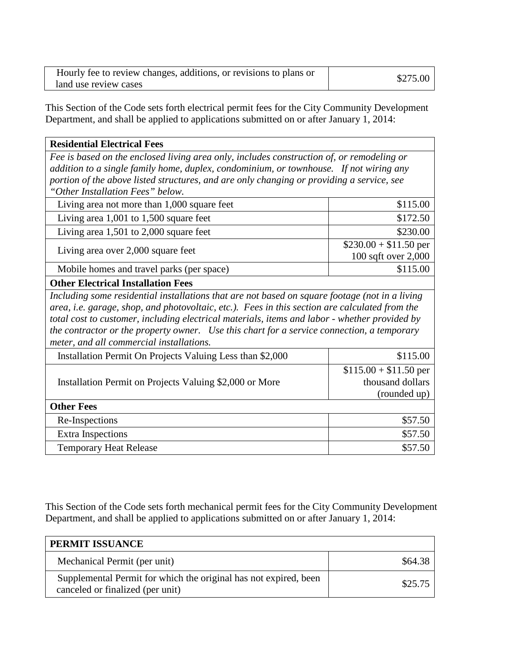| Hourly fee to review changes, additions, or revisions to plans or |          |
|-------------------------------------------------------------------|----------|
| land use review cases                                             | \$275.00 |

This Section of the Code sets forth electrical permit fees for the City Community Development Department, and shall be applied to applications submitted on or after January 1, 2014:

| <b>Residential Electrical Fees</b>                                                             |                        |
|------------------------------------------------------------------------------------------------|------------------------|
| Fee is based on the enclosed living area only, includes construction of, or remodeling or      |                        |
| addition to a single family home, duplex, condominium, or townhouse. If not wiring any         |                        |
| portion of the above listed structures, and are only changing or providing a service, see      |                        |
| "Other Installation Fees" below.                                                               |                        |
| Living area not more than 1,000 square feet                                                    | \$115.00               |
| Living area $1,001$ to $1,500$ square feet                                                     | \$172.50               |
| Living area $1,501$ to $2,000$ square feet                                                     | \$230.00               |
| Living area over 2,000 square feet                                                             | $$230.00 + $11.50$ per |
|                                                                                                | 100 sqft over 2,000    |
| Mobile homes and travel parks (per space)                                                      | \$115.00               |
| <b>Other Electrical Installation Fees</b>                                                      |                        |
| Including some residential installations that are not based on square footage (not in a living |                        |
| area, i.e. garage, shop, and photovoltaic, etc.). Fees in this section are calculated from the |                        |
| total cost to customer, including electrical materials, items and labor - whether provided by  |                        |
| the contractor or the property owner. Use this chart for a service connection, a temporary     |                        |
| meter, and all commercial installations.                                                       |                        |
| Installation Permit On Projects Valuing Less than \$2,000                                      | \$115.00               |
|                                                                                                | $$115.00 + $11.50$ per |
| Installation Permit on Projects Valuing \$2,000 or More                                        | thousand dollars       |
|                                                                                                | (rounded up)           |
| <b>Other Fees</b>                                                                              |                        |
| Re-Inspections                                                                                 | \$57.50                |
| <b>Extra Inspections</b>                                                                       | \$57.50                |
| <b>Temporary Heat Release</b>                                                                  | \$57.50                |

This Section of the Code sets forth mechanical permit fees for the City Community Development Department, and shall be applied to applications submitted on or after January 1, 2014:

| PERMIT ISSUANCE                                                                                      |         |
|------------------------------------------------------------------------------------------------------|---------|
| Mechanical Permit (per unit)                                                                         | \$64.38 |
| Supplemental Permit for which the original has not expired, been<br>canceled or finalized (per unit) | \$25.75 |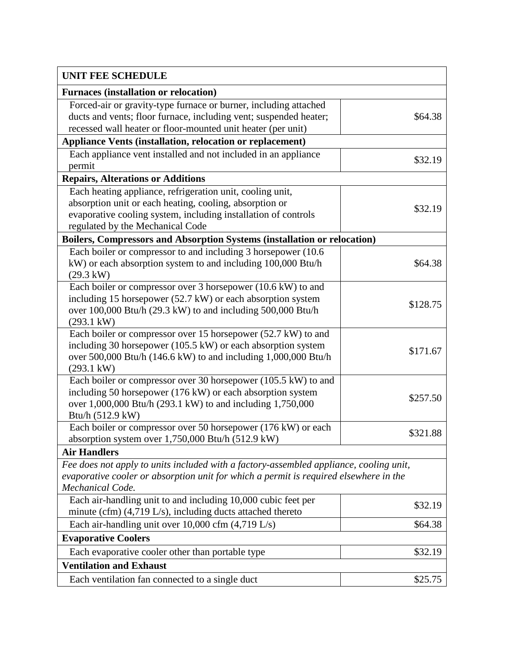| UNIT FEE SCHEDULE                                                                      |          |
|----------------------------------------------------------------------------------------|----------|
| <b>Furnaces (installation or relocation)</b>                                           |          |
| Forced-air or gravity-type furnace or burner, including attached                       |          |
| ducts and vents; floor furnace, including vent; suspended heater;                      | \$64.38  |
| recessed wall heater or floor-mounted unit heater (per unit)                           |          |
| <b>Appliance Vents (installation, relocation or replacement)</b>                       |          |
| Each appliance vent installed and not included in an appliance                         | \$32.19  |
| permit                                                                                 |          |
| <b>Repairs, Alterations or Additions</b>                                               |          |
| Each heating appliance, refrigeration unit, cooling unit,                              |          |
| absorption unit or each heating, cooling, absorption or                                |          |
| evaporative cooling system, including installation of controls                         | \$32.19  |
| regulated by the Mechanical Code                                                       |          |
| Boilers, Compressors and Absorption Systems (installation or relocation)               |          |
| Each boiler or compressor to and including 3 horsepower (10.6)                         |          |
| kW) or each absorption system to and including 100,000 Btu/h                           | \$64.38  |
| $(29.3 \text{ kW})$                                                                    |          |
| Each boiler or compressor over 3 horsepower (10.6 kW) to and                           |          |
| including 15 horsepower (52.7 kW) or each absorption system                            | \$128.75 |
| over 100,000 Btu/h (29.3 kW) to and including 500,000 Btu/h                            |          |
| $(293.1 \text{ kW})$                                                                   |          |
| Each boiler or compressor over 15 horsepower (52.7 kW) to and                          |          |
| including 30 horsepower (105.5 kW) or each absorption system                           |          |
| over 500,000 Btu/h (146.6 kW) to and including 1,000,000 Btu/h                         | \$171.67 |
| $(293.1 \text{ kW})$                                                                   |          |
| Each boiler or compressor over 30 horsepower (105.5 kW) to and                         |          |
| including 50 horsepower (176 kW) or each absorption system                             |          |
| over 1,000,000 Btu/h (293.1 kW) to and including 1,750,000                             | \$257.50 |
| Btu/h (512.9 kW)                                                                       |          |
| Each boiler or compressor over 50 horsepower (176 kW) or each                          |          |
| absorption system over 1,750,000 Btu/h (512.9 kW)                                      | \$321.88 |
| <b>Air Handlers</b>                                                                    |          |
| Fee does not apply to units included with a factory-assembled appliance, cooling unit, |          |
| evaporative cooler or absorption unit for which a permit is required elsewhere in the  |          |
| Mechanical Code.                                                                       |          |
| Each air-handling unit to and including 10,000 cubic feet per                          | \$32.19  |
| minute (cfm) $(4,719 \text{ L/s})$ , including ducts attached thereto                  |          |
| Each air-handling unit over 10,000 cfm $(4,719 \text{ L/s})$                           | \$64.38  |
| <b>Evaporative Coolers</b>                                                             |          |
| Each evaporative cooler other than portable type                                       | \$32.19  |
| <b>Ventilation and Exhaust</b>                                                         |          |
| Each ventilation fan connected to a single duct                                        | \$25.75  |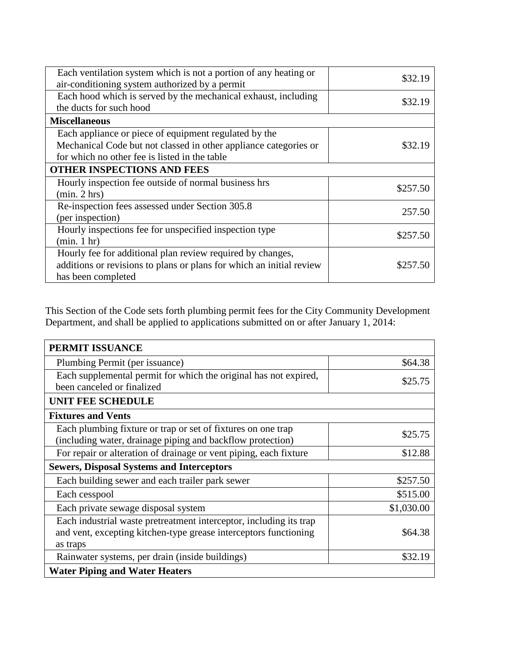| Each ventilation system which is not a portion of any heating or<br>air-conditioning system authorized by a permit | \$32.19  |
|--------------------------------------------------------------------------------------------------------------------|----------|
| Each hood which is served by the mechanical exhaust, including<br>the ducts for such hood                          | \$32.19  |
| <b>Miscellaneous</b>                                                                                               |          |
| Each appliance or piece of equipment regulated by the                                                              |          |
| Mechanical Code but not classed in other appliance categories or<br>for which no other fee is listed in the table  | \$32.19  |
| <b>OTHER INSPECTIONS AND FEES</b>                                                                                  |          |
| Hourly inspection fee outside of normal business hrs                                                               | \$257.50 |
| (min. 2 hrs)                                                                                                       |          |
| Re-inspection fees assessed under Section 305.8                                                                    | 257.50   |
| (per inspection)                                                                                                   |          |
| Hourly inspections fee for unspecified inspection type                                                             |          |
| (min. 1 hr)                                                                                                        | \$257.50 |
| Hourly fee for additional plan review required by changes,                                                         |          |
| additions or revisions to plans or plans for which an initial review                                               | \$257.50 |
| has been completed                                                                                                 |          |

This Section of the Code sets forth plumbing permit fees for the City Community Development Department, and shall be applied to applications submitted on or after January 1, 2014:

| PERMIT ISSUANCE                                                                                                                                    |            |
|----------------------------------------------------------------------------------------------------------------------------------------------------|------------|
| Plumbing Permit (per issuance)                                                                                                                     | \$64.38    |
| Each supplemental permit for which the original has not expired,<br>been canceled or finalized                                                     | \$25.75    |
| <b>UNIT FEE SCHEDULE</b>                                                                                                                           |            |
| <b>Fixtures and Vents</b>                                                                                                                          |            |
| Each plumbing fixture or trap or set of fixtures on one trap<br>(including water, drainage piping and backflow protection)                         | \$25.75    |
| For repair or alteration of drainage or vent piping, each fixture                                                                                  | \$12.88    |
| <b>Sewers, Disposal Systems and Interceptors</b>                                                                                                   |            |
| Each building sewer and each trailer park sewer                                                                                                    | \$257.50   |
| Each cesspool                                                                                                                                      | \$515.00   |
| Each private sewage disposal system                                                                                                                | \$1,030.00 |
| Each industrial waste pretreatment interceptor, including its trap<br>and vent, excepting kitchen-type grease interceptors functioning<br>as traps | \$64.38    |
| Rainwater systems, per drain (inside buildings)                                                                                                    | \$32.19    |
| <b>Water Piping and Water Heaters</b>                                                                                                              |            |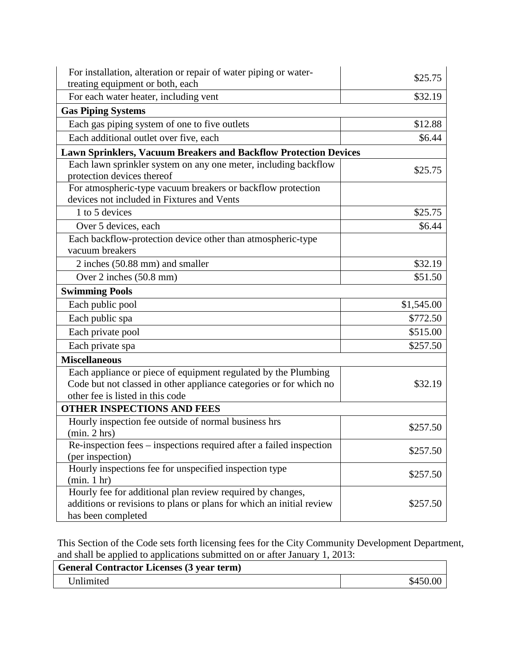| For installation, alteration or repair of water piping or water-<br>treating equipment or both, each                                                                     | \$25.75    |
|--------------------------------------------------------------------------------------------------------------------------------------------------------------------------|------------|
| For each water heater, including vent                                                                                                                                    | \$32.19    |
| <b>Gas Piping Systems</b>                                                                                                                                                |            |
| Each gas piping system of one to five outlets                                                                                                                            | \$12.88    |
| Each additional outlet over five, each                                                                                                                                   | \$6.44     |
| <b>Lawn Sprinklers, Vacuum Breakers and Backflow Protection Devices</b>                                                                                                  |            |
| Each lawn sprinkler system on any one meter, including backflow                                                                                                          |            |
| protection devices thereof                                                                                                                                               | \$25.75    |
| For atmospheric-type vacuum breakers or backflow protection<br>devices not included in Fixtures and Vents                                                                |            |
| 1 to 5 devices                                                                                                                                                           | \$25.75    |
| Over 5 devices, each                                                                                                                                                     | \$6.44     |
| Each backflow-protection device other than atmospheric-type<br>vacuum breakers                                                                                           |            |
| 2 inches (50.88 mm) and smaller                                                                                                                                          | \$32.19    |
| Over 2 inches (50.8 mm)                                                                                                                                                  | \$51.50    |
| <b>Swimming Pools</b>                                                                                                                                                    |            |
| Each public pool                                                                                                                                                         | \$1,545.00 |
| Each public spa                                                                                                                                                          | \$772.50   |
| Each private pool                                                                                                                                                        | \$515.00   |
| Each private spa                                                                                                                                                         | \$257.50   |
| <b>Miscellaneous</b>                                                                                                                                                     |            |
| Each appliance or piece of equipment regulated by the Plumbing<br>Code but not classed in other appliance categories or for which no<br>other fee is listed in this code | \$32.19    |
| <b>OTHER INSPECTIONS AND FEES</b>                                                                                                                                        |            |
| Hourly inspection fee outside of normal business hrs                                                                                                                     | \$257.50   |
| (min. 2 hrs)                                                                                                                                                             |            |
| Re-inspection fees – inspections required after a failed inspection                                                                                                      | \$257.50   |
| (per inspection)                                                                                                                                                         |            |
| Hourly inspections fee for unspecified inspection type<br>(min. 1 hr)                                                                                                    | \$257.50   |
| Hourly fee for additional plan review required by changes,<br>additions or revisions to plans or plans for which an initial review<br>has been completed                 | \$257.50   |

This Section of the Code sets forth licensing fees for the City Community Development Department, and shall be applied to applications submitted on or after January 1, 2013:  $\overline{\phantom{a}}$ 

| <b>General Contractor Licenses (3 year term)</b> |  |
|--------------------------------------------------|--|
| Unlimited                                        |  |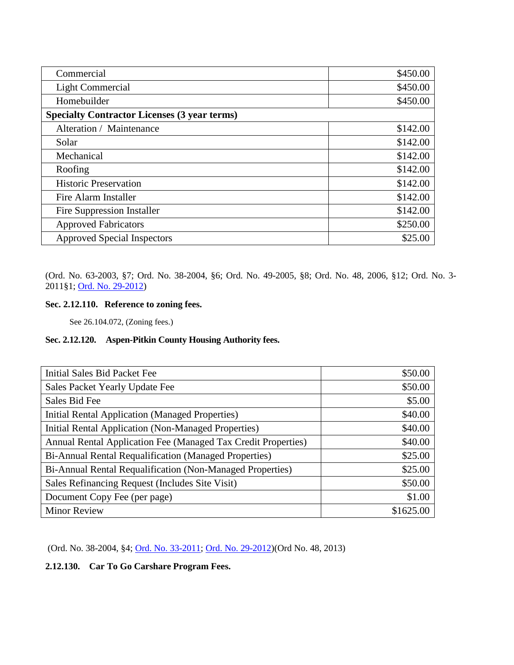| Commercial                                          | \$450.00 |
|-----------------------------------------------------|----------|
| Light Commercial                                    | \$450.00 |
| Homebuilder                                         | \$450.00 |
| <b>Specialty Contractor Licenses (3 year terms)</b> |          |
| Alteration / Maintenance                            | \$142.00 |
| Solar                                               | \$142.00 |
| Mechanical                                          | \$142.00 |
| Roofing                                             | \$142.00 |
| <b>Historic Preservation</b>                        | \$142.00 |
| Fire Alarm Installer                                | \$142.00 |
| <b>Fire Suppression Installer</b>                   | \$142.00 |
| <b>Approved Fabricators</b>                         | \$250.00 |
| <b>Approved Special Inspectors</b>                  | \$25.00  |

(Ord. No. 63-2003, §7; Ord. No. 38-2004, §6; Ord. No. 49-2005, §8; Ord. No. 48, 2006, §12; Ord. No. 3- 2011§1; [Ord. No. 29-2012\)](http://205.170.51.183/WebLink8/0/doc/185748/Page1.aspx)

# **Sec. 2.12.110. Reference to zoning fees.**

See 26.104.072, (Zoning fees.)

# <span id="page-39-0"></span>**Sec. 2.12.120. Aspen-Pitkin County Housing Authority fees.**

| <b>Initial Sales Bid Packet Fee</b>                           | \$50.00   |
|---------------------------------------------------------------|-----------|
| Sales Packet Yearly Update Fee                                | \$50.00   |
| Sales Bid Fee                                                 | \$5.00    |
| <b>Initial Rental Application (Managed Properties)</b>        | \$40.00   |
| <b>Initial Rental Application (Non-Managed Properties)</b>    | \$40.00   |
| Annual Rental Application Fee (Managed Tax Credit Properties) | \$40.00   |
| Bi-Annual Rental Requalification (Managed Properties)         | \$25.00   |
| Bi-Annual Rental Requalification (Non-Managed Properties)     | \$25.00   |
| Sales Refinancing Request (Includes Site Visit)               | \$50.00   |
| Document Copy Fee (per page)                                  | \$1.00    |
| <b>Minor Review</b>                                           | \$1625.00 |

(Ord. No. 38-2004, §4; [Ord. No. 33-2011;](http://205.170.51.183/WebLink8/0/doc/163539/Page1.aspx) [Ord. No. 29-2012\)](http://205.170.51.183/WebLink8/0/doc/185748/Page1.aspx)(Ord No. 48, 2013)

<span id="page-39-1"></span>**2.12.130. Car To Go Carshare Program Fees.**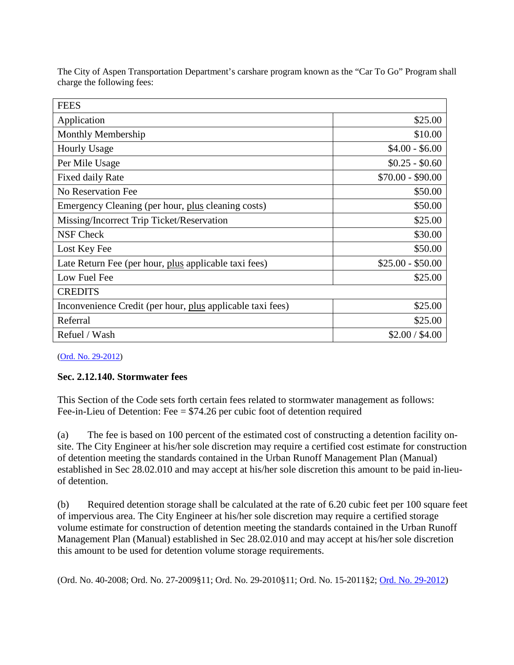| <b>FEES</b>                                                |                   |
|------------------------------------------------------------|-------------------|
| Application                                                | \$25.00           |
| <b>Monthly Membership</b>                                  | \$10.00           |
| <b>Hourly Usage</b>                                        | $$4.00 - $6.00$   |
| Per Mile Usage                                             | $$0.25 - $0.60$   |
| Fixed daily Rate                                           | $$70.00 - $90.00$ |
| No Reservation Fee                                         | \$50.00           |
| Emergency Cleaning (per hour, plus cleaning costs)         | \$50.00           |
| Missing/Incorrect Trip Ticket/Reservation                  | \$25.00           |
| <b>NSF Check</b>                                           | \$30.00           |
| Lost Key Fee                                               | \$50.00           |
| Late Return Fee (per hour, plus applicable taxi fees)      | $$25.00 - $50.00$ |
| Low Fuel Fee                                               | \$25.00           |
| <b>CREDITS</b>                                             |                   |
| Inconvenience Credit (per hour, plus applicable taxi fees) | \$25.00           |
| Referral                                                   | \$25.00           |
| Refuel / Wash                                              | \$2.00 / \$4.00   |

The City of Aspen Transportation Department's carshare program known as the "Car To Go" Program shall charge the following fees:

[\(Ord. No. 29-2012\)](http://205.170.51.183/WebLink8/0/doc/185748/Page1.aspx)

# **Sec. 2.12.140. Stormwater fees**

This Section of the Code sets forth certain fees related to stormwater management as follows: Fee-in-Lieu of Detention: Fee  $= $74.26$  per cubic foot of detention required

(a) The fee is based on 100 percent of the estimated cost of constructing a detention facility onsite. The City Engineer at his/her sole discretion may require a certified cost estimate for construction of detention meeting the standards contained in the Urban Runoff Management Plan (Manual) established in Sec 28.02.010 and may accept at his/her sole discretion this amount to be paid in-lieuof detention.

(b) Required detention storage shall be calculated at the rate of 6.20 cubic feet per 100 square feet of impervious area. The City Engineer at his/her sole discretion may require a certified storage volume estimate for construction of detention meeting the standards contained in the Urban Runoff Management Plan (Manual) established in Sec 28.02.010 and may accept at his/her sole discretion this amount to be used for detention volume storage requirements.

(Ord. No. 40-2008; Ord. No. 27-2009§11; Ord. No. 29-2010§11; Ord. No. 15-2011§2; [Ord. No. 29-2012\)](http://205.170.51.183/WebLink8/0/doc/185748/Page1.aspx)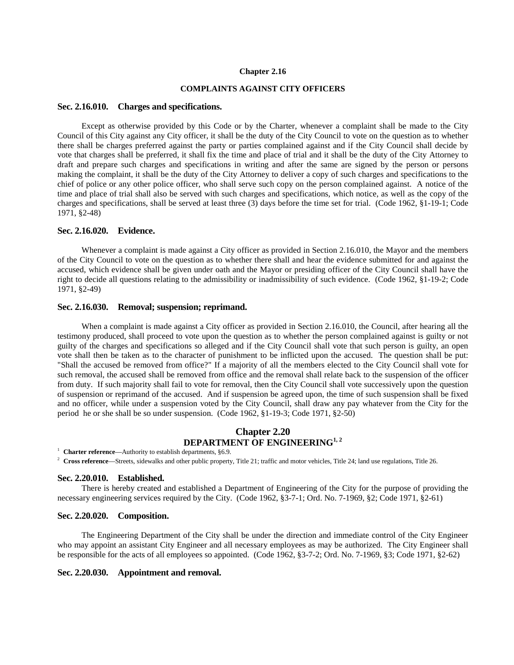#### **Chapter 2.16**

# **COMPLAINTS AGAINST CITY OFFICERS**

### <span id="page-42-0"></span>**Sec. 2.16.010. Charges and specifications.**

Except as otherwise provided by this Code or by the Charter, whenever a complaint shall be made to the City Council of this City against any City officer, it shall be the duty of the City Council to vote on the question as to whether there shall be charges preferred against the party or parties complained against and if the City Council shall decide by vote that charges shall be preferred, it shall fix the time and place of trial and it shall be the duty of the City Attorney to draft and prepare such charges and specifications in writing and after the same are signed by the person or persons making the complaint, it shall be the duty of the City Attorney to deliver a copy of such charges and specifications to the chief of police or any other police officer, who shall serve such copy on the person complained against. A notice of the time and place of trial shall also be served with such charges and specifications, which notice, as well as the copy of the charges and specifications, shall be served at least three (3) days before the time set for trial. (Code 1962, §1-19-1; Code 1971, §2-48)

## <span id="page-42-1"></span>**Sec. 2.16.020. Evidence.**

Whenever a complaint is made against a City officer as provided in Section 2.16.010, the Mayor and the members of the City Council to vote on the question as to whether there shall and hear the evidence submitted for and against the accused, which evidence shall be given under oath and the Mayor or presiding officer of the City Council shall have the right to decide all questions relating to the admissibility or inadmissibility of such evidence. (Code 1962, §1-19-2; Code 1971, §2-49)

## <span id="page-42-2"></span>**Sec. 2.16.030. Removal; suspension; reprimand.**

When a complaint is made against a City officer as provided in Section 2.16.010, the Council, after hearing all the testimony produced, shall proceed to vote upon the question as to whether the person complained against is guilty or not guilty of the charges and specifications so alleged and if the City Council shall vote that such person is guilty, an open vote shall then be taken as to the character of punishment to be inflicted upon the accused. The question shall be put: "Shall the accused be removed from office?" If a majority of all the members elected to the City Council shall vote for such removal, the accused shall be removed from office and the removal shall relate back to the suspension of the officer from duty. If such majority shall fail to vote for removal, then the City Council shall vote successively upon the question of suspension or reprimand of the accused. And if suspension be agreed upon, the time of such suspension shall be fixed and no officer, while under a suspension voted by the City Council, shall draw any pay whatever from the City for the period he or she shall be so under suspension. (Code 1962, §1-19-3; Code 1971, §2-50)

# **Chapter 2.20 DEPARTMENT OF ENGINEERING**<sup>1, 2</sup>

<sup>1</sup> **Charter reference**—Authority to establish departments, §6.9.

<sup>2</sup> Cross reference—Streets, sidewalks and other public property, Title 21; traffic and motor vehicles, Title 24; land use regulations, Title 26.

#### <span id="page-42-3"></span>**Sec. 2.20.010. Established.**

There is hereby created and established a Department of Engineering of the City for the purpose of providing the necessary engineering services required by the City. (Code 1962, §3-7-1; Ord. No. 7-1969, §2; Code 1971, §2-61)

#### <span id="page-42-4"></span>**Sec. 2.20.020. Composition.**

The Engineering Department of the City shall be under the direction and immediate control of the City Engineer who may appoint an assistant City Engineer and all necessary employees as may be authorized. The City Engineer shall be responsible for the acts of all employees so appointed. (Code 1962, §3-7-2; Ord. No. 7-1969, §3; Code 1971, §2-62)

# <span id="page-42-5"></span>**Sec. 2.20.030. Appointment and removal.**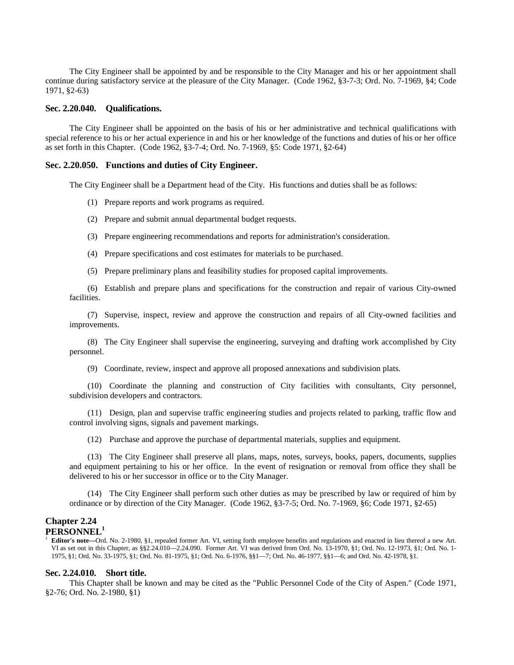The City Engineer shall be appointed by and be responsible to the City Manager and his or her appointment shall continue during satisfactory service at the pleasure of the City Manager. (Code 1962, §3-7-3; Ord. No. 7-1969, §4; Code 1971, §2-63)

#### <span id="page-43-0"></span>**Sec. 2.20.040. Qualifications.**

The City Engineer shall be appointed on the basis of his or her administrative and technical qualifications with special reference to his or her actual experience in and his or her knowledge of the functions and duties of his or her office as set forth in this Chapter. (Code 1962, §3-7-4; Ord. No. 7-1969, §5: Code 1971, §2-64)

### <span id="page-43-1"></span>**Sec. 2.20.050. Functions and duties of City Engineer.**

The City Engineer shall be a Department head of the City. His functions and duties shall be as follows:

- (1) Prepare reports and work programs as required.
- (2) Prepare and submit annual departmental budget requests.
- (3) Prepare engineering recommendations and reports for administration's consideration.
- (4) Prepare specifications and cost estimates for materials to be purchased.
- (5) Prepare preliminary plans and feasibility studies for proposed capital improvements.

(6) Establish and prepare plans and specifications for the construction and repair of various City-owned facilities.

(7) Supervise, inspect, review and approve the construction and repairs of all City-owned facilities and improvements.

(8) The City Engineer shall supervise the engineering, surveying and drafting work accomplished by City personnel.

(9) Coordinate, review, inspect and approve all proposed annexations and subdivision plats.

(10) Coordinate the planning and construction of City facilities with consultants, City personnel, subdivision developers and contractors.

(11) Design, plan and supervise traffic engineering studies and projects related to parking, traffic flow and control involving signs, signals and pavement markings.

(12) Purchase and approve the purchase of departmental materials, supplies and equipment.

(13) The City Engineer shall preserve all plans, maps, notes, surveys, books, papers, documents, supplies and equipment pertaining to his or her office. In the event of resignation or removal from office they shall be delivered to his or her successor in office or to the City Manager.

(14) The City Engineer shall perform such other duties as may be prescribed by law or required of him by ordinance or by direction of the City Manager. (Code 1962, §3-7-5; Ord. No. 7-1969, §6; Code 1971, §2-65)

# **Chapter 2.24 PERSONNEL1**

<sup>1</sup> **Editor's note—**Ord. No. 2-1980, §1, repealed former Art. VI, setting forth employee benefits and regulations and enacted in lieu thereof a new Art. VI as set out in this Chapter, as §§2.24.010—2.24.090. Former Art. VI was derived from Ord. No. 13-1970, §1; Ord. No. 12-1973, §1; Ord. No. 1- 1975, §1; Ord. No. 33-1975, §1; Ord. No. 81-1975, §1; Ord. No. 6-1976, §§1—7; Ord. No. 46-1977, §§1—6; and Ord. No. 42-1978, §1.

#### <span id="page-43-2"></span>**Sec. 2.24.010. Short title.**

This Chapter shall be known and may be cited as the "Public Personnel Code of the City of Aspen." (Code 1971, §2-76; Ord. No. 2-1980, §1)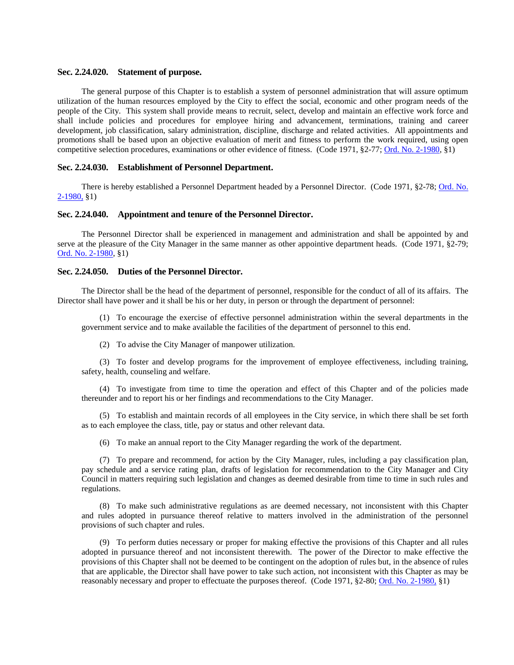## <span id="page-44-0"></span>**Sec. 2.24.020. Statement of purpose.**

The general purpose of this Chapter is to establish a system of personnel administration that will assure optimum utilization of the human resources employed by the City to effect the social, economic and other program needs of the people of the City. This system shall provide means to recruit, select, develop and maintain an effective work force and shall include policies and procedures for employee hiring and advancement, terminations, training and career development, job classification, salary administration, discipline, discharge and related activities. All appointments and promotions shall be based upon an objective evaluation of merit and fitness to perform the work required, using open competitive selection procedures, examinations or other evidence of fitness. (Code 1971, §2-77[; Ord. No. 2-1980,](http://205.170.51.183/WebLink8/DocView.aspx?id=65382&dbid=0) §1)

## <span id="page-44-1"></span>**Sec. 2.24.030. Establishment of Personnel Department.**

There is hereby established a Personnel Department headed by a Personnel Director. (Code 1971, §2-78[; Ord. No.](http://205.170.51.183/WebLink8/DocView.aspx?id=65382&dbid=0)  [2-1980,](http://205.170.51.183/WebLink8/DocView.aspx?id=65382&dbid=0) §1)

### <span id="page-44-2"></span>**Sec. 2.24.040. Appointment and tenure of the Personnel Director.**

The Personnel Director shall be experienced in management and administration and shall be appointed by and serve at the pleasure of the City Manager in the same manner as other appointive department heads. (Code 1971, §2-79; [Ord. No. 2-1980,](http://205.170.51.183/WebLink8/DocView.aspx?id=65382&dbid=0) §1)

## <span id="page-44-3"></span>**Sec. 2.24.050. Duties of the Personnel Director.**

The Director shall be the head of the department of personnel, responsible for the conduct of all of its affairs. The Director shall have power and it shall be his or her duty, in person or through the department of personnel:

(1) To encourage the exercise of effective personnel administration within the several departments in the government service and to make available the facilities of the department of personnel to this end.

(2) To advise the City Manager of manpower utilization.

(3) To foster and develop programs for the improvement of employee effectiveness, including training, safety, health, counseling and welfare.

(4) To investigate from time to time the operation and effect of this Chapter and of the policies made thereunder and to report his or her findings and recommendations to the City Manager.

(5) To establish and maintain records of all employees in the City service, in which there shall be set forth as to each employee the class, title, pay or status and other relevant data.

(6) To make an annual report to the City Manager regarding the work of the department.

(7) To prepare and recommend, for action by the City Manager, rules, including a pay classification plan, pay schedule and a service rating plan, drafts of legislation for recommendation to the City Manager and City Council in matters requiring such legislation and changes as deemed desirable from time to time in such rules and regulations.

(8) To make such administrative regulations as are deemed necessary, not inconsistent with this Chapter and rules adopted in pursuance thereof relative to matters involved in the administration of the personnel provisions of such chapter and rules.

(9) To perform duties necessary or proper for making effective the provisions of this Chapter and all rules adopted in pursuance thereof and not inconsistent therewith. The power of the Director to make effective the provisions of this Chapter shall not be deemed to be contingent on the adoption of rules but, in the absence of rules that are applicable, the Director shall have power to take such action, not inconsistent with this Chapter as may be reasonably necessary and proper to effectuate the purposes thereof. (Code 1971, §2-80; [Ord. No. 2-1980,](http://205.170.51.183/WebLink8/DocView.aspx?id=65382&dbid=0) §1)